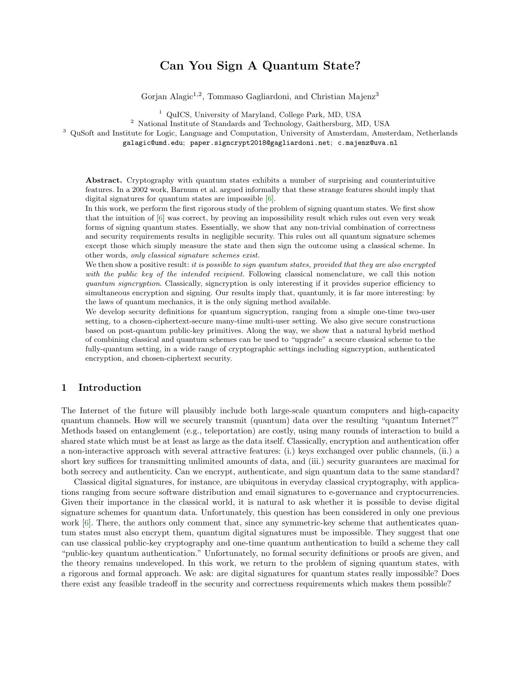# Can You Sign A Quantum State?

Gorjan Alagic<sup>1,2</sup>, Tommaso Gagliardoni, and Christian Majenz<sup>3</sup>

<sup>1</sup> QuICS, University of Maryland, College Park, MD, USA

<sup>2</sup> National Institute of Standards and Technology, Gaithersburg, MD, USA

<sup>3</sup> QuSoft and Institute for Logic, Language and Computation, University of Amsterdam, Amsterdam, Netherlands

galagic@umd.edu; paper.signcrypt2018@gagliardoni.net; c.majenz@uva.nl

Abstract. Cryptography with quantum states exhibits a number of surprising and counterintuitive features. In a 2002 work, Barnum et al. argued informally that these strange features should imply that digital signatures for quantum states are impossible [\[6\]](#page-18-0).

In this work, we perform the first rigorous study of the problem of signing quantum states. We first show that the intuition of [\[6\]](#page-18-0) was correct, by proving an impossibility result which rules out even very weak forms of signing quantum states. Essentially, we show that any non-trivial combination of correctness and security requirements results in negligible security. This rules out all quantum signature schemes except those which simply measure the state and then sign the outcome using a classical scheme. In other words, only classical signature schemes exist.

We then show a positive result: it is possible to sign quantum states, provided that they are also encrypted with the public key of the intended recipient. Following classical nomenclature, we call this notion quantum signcryption. Classically, signcryption is only interesting if it provides superior efficiency to simultaneous encryption and signing. Our results imply that, quantumly, it is far more interesting: by the laws of quantum mechanics, it is the only signing method available.

We develop security definitions for quantum signcryption, ranging from a simple one-time two-user setting, to a chosen-ciphertext-secure many-time multi-user setting. We also give secure constructions based on post-quantum public-key primitives. Along the way, we show that a natural hybrid method of combining classical and quantum schemes can be used to "upgrade" a secure classical scheme to the fully-quantum setting, in a wide range of cryptographic settings including signcryption, authenticated encryption, and chosen-ciphertext security.

## 1 Introduction

The Internet of the future will plausibly include both large-scale quantum computers and high-capacity quantum channels. How will we securely transmit (quantum) data over the resulting "quantum Internet?" Methods based on entanglement (e.g., teleportation) are costly, using many rounds of interaction to build a shared state which must be at least as large as the data itself. Classically, encryption and authentication offer a non-interactive approach with several attractive features: (i.) keys exchanged over public channels, (ii.) a short key suffices for transmitting unlimited amounts of data, and (iii.) security guarantees are maximal for both secrecy and authenticity. Can we encrypt, authenticate, and sign quantum data to the same standard?

Classical digital signatures, for instance, are ubiquitous in everyday classical cryptography, with applications ranging from secure software distribution and email signatures to e-governance and cryptocurrencies. Given their importance in the classical world, it is natural to ask whether it is possible to devise digital signature schemes for quantum data. Unfortunately, this question has been considered in only one previous work [\[6\]](#page-18-0). There, the authors only comment that, since any symmetric-key scheme that authenticates quantum states must also encrypt them, quantum digital signatures must be impossible. They suggest that one can use classical public-key cryptography and one-time quantum authentication to build a scheme they call "public-key quantum authentication." Unfortunately, no formal security definitions or proofs are given, and the theory remains undeveloped. In this work, we return to the problem of signing quantum states, with a rigorous and formal approach. We ask: are digital signatures for quantum states really impossible? Does there exist any feasible tradeoff in the security and correctness requirements which makes them possible?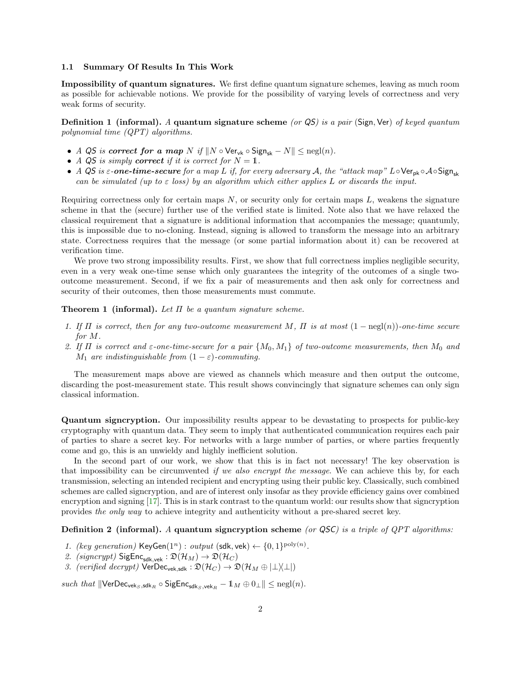#### 1.1 Summary Of Results In This Work

Impossibility of quantum signatures. We first define quantum signature schemes, leaving as much room as possible for achievable notions. We provide for the possibility of varying levels of correctness and very weak forms of security.

**Definition 1** (informal). A quantum signature scheme (or  $QS$ ) is a pair (Sign, Ver) of keyed quantum polynomial time (QPT) algorithms.

- A QS is correct for a map N if  $||N \circ \text{Ver}_{vk} \circ \text{Sign}_{sk} N|| \leq \text{negl}(n)$ .
- A QS is simply correct if it is correct for  $N = 1$ .
- A QS is  $\varepsilon$ -one-time-secure for a map L if, for every adversary A, the "attack map" L∘Ver<sub>pk</sub> ∘A∘Sign<sub>sk</sub> can be simulated (up to  $\varepsilon$  loss) by an algorithm which either applies L or discards the input.

Requiring correctness only for certain maps  $N$ , or security only for certain maps  $L$ , weakens the signature scheme in that the (secure) further use of the verified state is limited. Note also that we have relaxed the classical requirement that a signature is additional information that accompanies the message; quantumly, this is impossible due to no-cloning. Instead, signing is allowed to transform the message into an arbitrary state. Correctness requires that the message (or some partial information about it) can be recovered at verification time.

We prove two strong impossibility results. First, we show that full correctness implies negligible security, even in a very weak one-time sense which only guarantees the integrity of the outcomes of a single twooutcome measurement. Second, if we fix a pair of measurements and then ask only for correctness and security of their outcomes, then those measurements must commute.

### **Theorem 1 (informal).** Let  $\Pi$  be a quantum signature scheme.

- 1. If  $\Pi$  is correct, then for any two-outcome measurement M,  $\Pi$  is at most  $(1 \text{neg}(\eta))$ -one-time secure for M.
- 2. If  $\Pi$  is correct and  $\varepsilon$ -one-time-secure for a pair  $\{M_0, M_1\}$  of two-outcome measurements, then  $M_0$  and  $M_1$  are indistinguishable from  $(1 - \varepsilon)$ -commuting.

The measurement maps above are viewed as channels which measure and then output the outcome, discarding the post-measurement state. This result shows convincingly that signature schemes can only sign classical information.

Quantum signcryption. Our impossibility results appear to be devastating to prospects for public-key cryptography with quantum data. They seem to imply that authenticated communication requires each pair of parties to share a secret key. For networks with a large number of parties, or where parties frequently come and go, this is an unwieldy and highly inefficient solution.

In the second part of our work, we show that this is in fact not necessary! The key observation is that impossibility can be circumvented if we also encrypt the message. We can achieve this by, for each transmission, selecting an intended recipient and encrypting using their public key. Classically, such combined schemes are called signcryption, and are of interest only insofar as they provide efficiency gains over combined encryption and signing [\[17\]](#page-18-1). This is in stark contrast to the quantum world: our results show that signcryption provides the only way to achieve integrity and authenticity without a pre-shared secret key.

**Definition 2 (informal).** A quantum signcryption scheme (or QSC) is a triple of QPT algorithms:

- 1. (key generation) KeyGen $(1^n)$ : output  $(\text{sdk}, \text{vek}) \leftarrow \{0, 1\}^{\text{poly}(n)}$ .
- 2. (signcrypt)  $\text{SigEnc}_{\text{sdk,vek}} : \mathfrak{D}(\mathcal{H}_M) \to \mathfrak{D}(\mathcal{H}_C)$
- 3. (verified decrypt)  $\mathsf{VerDec}_{\mathsf{vek},\mathsf{sdk}} : \mathfrak{D}(\mathcal{H}_C) \to \mathfrak{D}(\mathcal{H}_M \oplus |\perp\rangle\langle\perp|)$

such that  $\|\text{VerDec}_{\text{vek}_S, \text{sdk}_R} \circ \text{SigEnc}_{\text{sdk}_S, \text{vek}_R} - 1_M \oplus 0_\perp \| \leq \text{negl}(n).$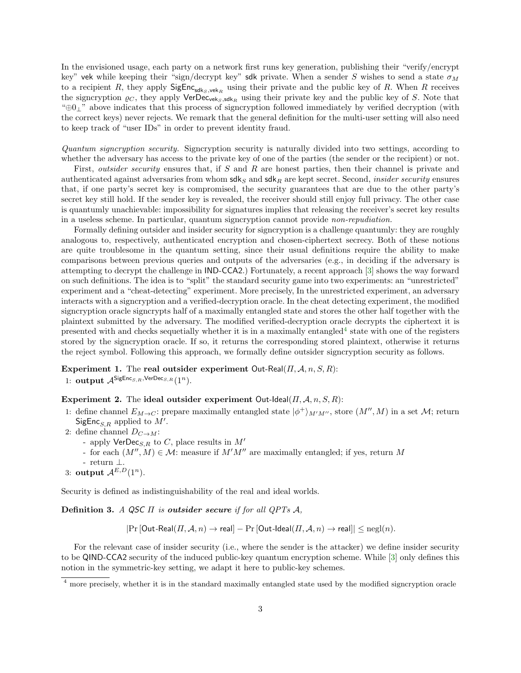In the envisioned usage, each party on a network first runs key generation, publishing their "verify/encrypt key" vek while keeping their "sign/decrypt key" sdk private. When a sender S wishes to send a state  $\sigma_M$ to a recipient R, they apply  $\textsf{SigEnc}_{\textsf{sdk}_S, \textsf{vek}_R}$  using their private and the public key of R. When R receives the signcryption  $\varrho_C$ , they apply VerDec<sub>veks, sdkR</sub> using their private key and the public key of S. Note that "⊕0⊥" above indicates that this process of signcryption followed immediately by verified decryption (with the correct keys) never rejects. We remark that the general definition for the multi-user setting will also need to keep track of "user IDs" in order to prevent identity fraud.

Quantum signcryption security. Signcryption security is naturally divided into two settings, according to whether the adversary has access to the private key of one of the parties (the sender or the recipient) or not.

First, *outsider security* ensures that, if S and R are honest parties, then their channel is private and authenticated against adversaries from whom  $\mathsf{sdk}_S$  and  $\mathsf{sdk}_R$  are kept secret. Second, *insider security* ensures that, if one party's secret key is compromised, the security guarantees that are due to the other party's secret key still hold. If the sender key is revealed, the receiver should still enjoy full privacy. The other case is quantumly unachievable: impossibility for signatures implies that releasing the receiver's secret key results in a useless scheme. In particular, quantum signcryption cannot provide non-repudiation.

Formally defining outsider and insider security for signcryption is a challenge quantumly: they are roughly analogous to, respectively, authenticated encryption and chosen-ciphertext secrecy. Both of these notions are quite troublesome in the quantum setting, since their usual definitions require the ability to make comparisons between previous queries and outputs of the adversaries (e.g., in deciding if the adversary is attempting to decrypt the challenge in IND-CCA2.) Fortunately, a recent approach [\[3\]](#page-18-2) shows the way forward on such definitions. The idea is to "split" the standard security game into two experiments: an "unrestricted" experiment and a "cheat-detecting" experiment. More precisely, In the unrestricted experiment, an adversary interacts with a signcryption and a verified-decryption oracle. In the cheat detecting experiment, the modified signcryption oracle signcrypts half of a maximally entangled state and stores the other half together with the plaintext submitted by the adversary. The modified verified-decryption oracle decrypts the ciphertext it is presented with and checks sequetially whether it is in a maximally entangled<sup>[4](#page-2-0)</sup> state with one of the registers stored by the signcryption oracle. If so, it returns the corresponding stored plaintext, otherwise it returns the reject symbol. Following this approach, we formally define outsider signcryption security as follows.

Experiment 1. The real outsider experiment Out-Real( $\Pi$ ,  $A$ ,  $n$ ,  $S$ ,  $R$ ):

1: **output**  $A^{\mathsf{SigEnc}_{S,R},\mathsf{VerDec}_{S,R}}(1^n)$ .

### Experiment 2. The ideal outsider experiment Out-Ideal( $\Pi$ ,  $A$ ,  $n$ ,  $S$ ,  $R$ ):

- 1: define channel  $E_{M\to C}$ : prepare maximally entangled state  $|\phi^+\rangle_{M'M''}$ , store  $(M'', M)$  in a set M; return SigEnc<sub>S,R</sub> applied to  $M'$ .
- 2: define channel  $D_{C\rightarrow M}$ :
	- apply  $VerDec_{S,R}$  to C, place results in M'
	- for each  $(M'', M) \in \mathcal{M}$ : measure if  $M'M''$  are maximally entangled; if yes, return M
	- return ⊥.
- 3: output  $A^{E,D}(1^n)$ .

Security is defined as indistinguishability of the real and ideal worlds.

Definition 3. A QSC  $\Pi$  is outsider secure if for all QPTs  $A$ ,

 $|\Pr[\text{Out-Real}(\Pi, \mathcal{A}, n) \to \text{real}] - \Pr[\text{Out-Ideal}(\Pi, \mathcal{A}, n) \to \text{real}]| \leq \text{negl}(n).$ 

For the relevant case of insider security (i.e., where the sender is the attacker) we define insider security to be QIND-CCA2 security of the induced public-key quantum encryption scheme. While [\[3\]](#page-18-2) only defines this notion in the symmetric-key setting, we adapt it here to public-key schemes.

<span id="page-2-0"></span><sup>&</sup>lt;sup>4</sup> more precisely, whether it is in the standard maximally entangled state used by the modified signcryption oracle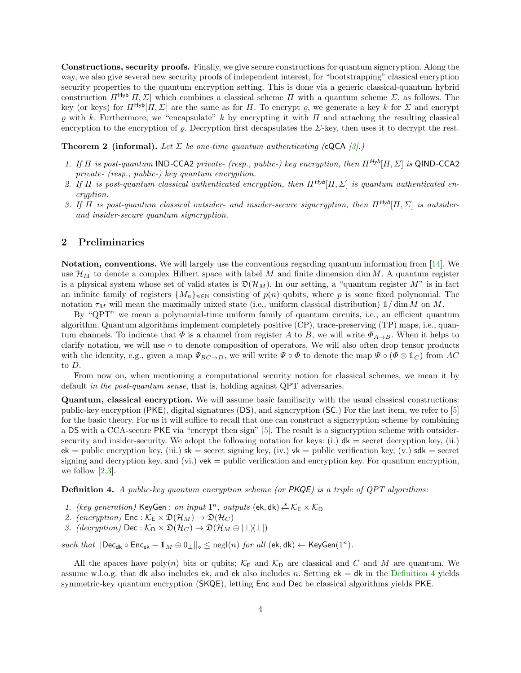Constructions, security proofs. Finally, we give secure constructions for quantum signcryption. Along the way, we also give several new security proofs of independent interest, for "bootstrapping" classical encryption security properties to the quantum encryption setting. This is done via a generic classical-quantum hybrid construction  $\Pi^{\text{Hyb}}[H,\Sigma]$  which combines a classical scheme  $H$  with a quantum scheme  $\Sigma$ , as follows. The key (or keys) for  $\overline{\Pi}^{\text{Hyb}}[\overline{\Pi}, \Sigma]$  are the same as for  $\Pi$ . To encrypt  $\varrho$ , we generate a key k for  $\Sigma$  and encrypt  $\rho$  with k. Furthermore, we "encapsulate" k by encrypting it with  $\Pi$  and attaching the resulting classical encryption to the encryption of  $\rho$ . Decryption first decapsulates the  $\Sigma$ -key, then uses it to decrypt the rest.

**Theorem 2 (informal).** Let  $\Sigma$  be one-time quantum authenticating (cQCA [\[3\]](#page-18-2).)

- 1. If  $\Pi$  is post-quantum IND-CCA2 private- (resp., public-) key encryption, then  $\Pi^{Hyb}[\Pi, \Sigma]$  is QIND-CCA2 private- (resp., public-) key quantum encryption.
- 2. If  $\Pi$  is post-quantum classical authenticated encryption, then  $\Pi^{Hyb}[\Pi, \Sigma]$  is quantum authenticated encryption.
- 3. If  $\Pi$  is post-quantum classical outsider- and insider-secure signcryption, then  $\Pi^{Hyb}[\Pi,\Sigma]$  is outsiderand insider-secure quantum signcryption.

### 2 Preliminaries

**Notation, conventions.** We will largely use the conventions regarding quantum information from  $[14]$ . We use  $\mathcal{H}_M$  to denote a complex Hilbert space with label M and finite dimension dim M. A quantum register is a physical system whose set of valid states is  $\mathfrak{D}(\mathcal{H}_M)$ . In our setting, a "quantum register M" is in fact an infinite family of registers  $\{M_n\}_{n\in\mathbb{N}}$  consisting of  $p(n)$  qubits, where p is some fixed polynomial. The notation  $\tau_M$  will mean the maximally mixed state (i.e., uniform classical distribution)  $1/\dim M$  on M.

By "QPT" we mean a polynomial-time uniform family of quantum circuits, i.e., an efficient quantum algorithm. Quantum algorithms implement completely positive (CP), trace-preserving (TP) maps, i.e., quantum channels. To indicate that  $\Phi$  is a channel from register A to B, we will write  $\Phi_{A\to B}$ . When it helps to clarify notation, we will use ◦ to denote composition of operators. We will also often drop tensor products with the identity, e.g., given a map  $\Psi_{BC\to D}$ , we will write  $\Psi \circ \Phi$  to denote the map  $\Psi \circ (\Phi \otimes \mathbb{1}_C)$  from AC to D.

From now on, when mentioning a computational security notion for classical schemes, we mean it by default in the post-quantum sense, that is, holding against QPT adversaries.

Quantum, classical encryption. We will assume basic familiarity with the usual classical constructions: public-key encryption (PKE), digital signatures (DS), and signcryption (SC.) For the last item, we refer to [\[5\]](#page-18-4) for the basic theory. For us it will suffice to recall that one can construct a signcryption scheme by combining a DS with a CCA-secure PKE via "encrypt then sign" [\[5\]](#page-18-4). The result is a signcryption scheme with outsidersecurity and insider-security. We adopt the following notation for keys: (i.)  $d\mathbf{k}$  = secret decryption key, (ii.)  $ek = public encryption key, (iii.)$   $sk = secret signing key, (iv.)$   $vk = public verification key, (v.)$   $sk = secret$ signing and decryption key, and (vi.)  $vek =$  public verification and encryption key. For quantum encryption, we follow  $[2,3]$  $[2,3]$ .

<span id="page-3-0"></span>**Definition 4.** A public-key quantum encryption scheme (or PKQE) is a triple of QPT algorithms:

- 1. (key generation) KeyGen : on input  $1^n$ , outputs (ek, dk)  $\xleftarrow{\&} \mathcal{K}_E \times \mathcal{K}_D$
- 2. (encryption)  $\text{Enc}: \mathcal{K}_{\mathsf{E}} \times \mathfrak{D}(\mathcal{H}_M) \to \mathfrak{D}(\mathcal{H}_C)$
- 3. (decryption) Dec:  $\mathcal{K}_D \times \mathfrak{D}(\mathcal{H}_C) \to \mathfrak{D}(\mathcal{H}_M \oplus |\perp \rangle \perp|)$

such that  $\|\text{Dec}_{dk} \circ \text{Enc}_{ek} - \mathbb{1}_M \oplus \mathbb{0}_{\perp}\|_{\diamond} \leq \text{negl}(n)$  for all  $(\text{ek}, \text{dk}) \leftarrow \text{KeyGen}(1^n)$ .

All the spaces have poly(n) bits or qubits;  $K_{\text{E}}$  and  $K_{\text{D}}$  are classical and C and M are quantum. We assume w.l.o.g. that dk also includes ek, and ek also includes n. Setting  $ek = dk$  in the [Definition](#page-3-0) [4](#page-3-0) yields symmetric-key quantum encryption (SKQE), letting Enc and Dec be classical algorithms yields PKE.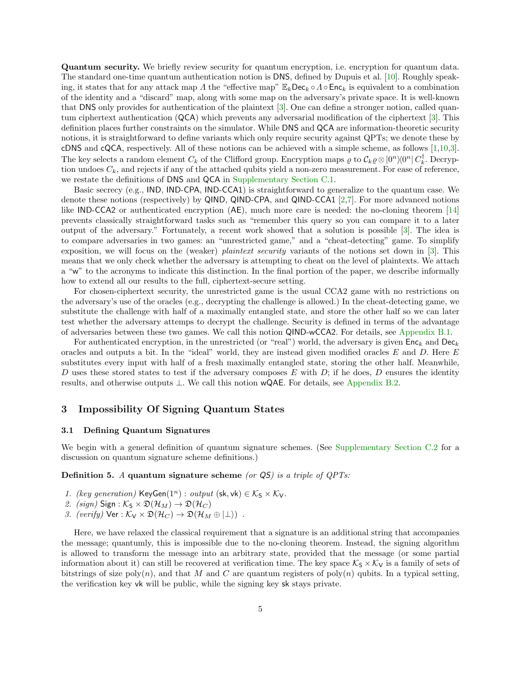Quantum security. We briefly review security for quantum encryption, i.e. encryption for quantum data. The standard one-time quantum authentication notion is DNS, defined by Dupuis et al. [\[10\]](#page-18-6). Roughly speaking, it states that for any attack map Λ the "effective map"  $\mathbb{E}_k$ Dec<sub>k</sub>  $\circ$  Λ $\circ$  Enc<sub>k</sub> is equivalent to a combination of the identity and a "discard" map, along with some map on the adversary's private space. It is well-known that DNS only provides for authentication of the plaintext [\[3\]](#page-18-2). One can define a stronger notion, called quantum ciphertext authentication (QCA) which prevents any adversarial modification of the ciphertext [\[3\]](#page-18-2). This definition places further constraints on the simulator. While DNS and QCA are information-theoretic security notions, it is straightforward to define variants which only require security against QPTs; we denote these by cDNS and cQCA, respectively. All of these notions can be achieved with a simple scheme, as follows [\[1,](#page-18-7)[10,](#page-18-6)[3\]](#page-18-2). The key selects a random element  $C_k$  of the Clifford group. Encryption maps  $\varrho$  to  $\mathcal{C}_k \varrho \otimes |0^n\rangle\langle0^n| C_k^{\dagger}$ . Decryption undoes  $C_k$ , and rejects if any of the attached qubits yield a non-zero measurement. For ease of reference, we restate the definitions of DNS and QCA in [Supplementary Section](#page-26-0) [C.1.](#page-26-0)

Basic secrecy (e.g., IND, IND-CPA, IND-CCA1) is straightforward to generalize to the quantum case. We denote these notions (respectively) by QIND, QIND-CPA, and QIND-CCA1 [\[2,](#page-18-5)[7\]](#page-18-8). For more advanced notions like IND-CCA2 or authenticated encryption (AE), much more care is needed: the no-cloning theorem [\[14\]](#page-18-3) prevents classically straightforward tasks such as "remember this query so you can compare it to a later output of the adversary." Fortunately, a recent work showed that a solution is possible [\[3\]](#page-18-2). The idea is to compare adversaries in two games: an "unrestricted game," and a "cheat-detecting" game. To simplify exposition, we will focus on the (weaker) *plaintext security* variants of the notions set down in [\[3\]](#page-18-2). This means that we only check whether the adversary is attempting to cheat on the level of plaintexts. We attach a "w" to the acronyms to indicate this distinction. In the final portion of the paper, we describe informally how to extend all our results to the full, ciphertext-secure setting.

For chosen-ciphertext security, the unrestricted game is the usual CCA2 game with no restrictions on the adversary's use of the oracles (e.g., decrypting the challenge is allowed.) In the cheat-detecting game, we substitute the challenge with half of a maximally entangled state, and store the other half so we can later test whether the adversary attemps to decrypt the challenge. Security is defined in terms of the advantage of adversaries between these two games. We call this notion QIND-wCCA2. For details, see [Appendix](#page-21-0) [B.1.](#page-21-0)

For authenticated encryption, in the unrestricted (or "real") world, the adversary is given  $Enc_k$  and  $Dec_k$ oracles and outputs a bit. In the "ideal" world, they are instead given modified oracles  $E$  and  $D$ . Here  $E$ substitutes every input with half of a fresh maximally entangled state, storing the other half. Meanwhile, D uses these stored states to test if the adversary composes E with D; if he does, D ensures the identity results, and otherwise outputs ⊥. We call this notion wQAE. For details, see [Appendix](#page-23-0) [B.2.](#page-23-0)

### <span id="page-4-1"></span>3 Impossibility Of Signing Quantum States

### <span id="page-4-2"></span>3.1 Defining Quantum Signatures

We begin with a general definition of quantum signature schemes. (See [Supplementary Section](#page-26-1) [C.2](#page-26-1) for a discussion on quantum signature scheme definitions.)

<span id="page-4-0"></span>**Definition 5.** A quantum signature scheme (or  $\overline{QS}$ ) is a triple of  $QPTs$ :

- 1. (key generation) KeyGen $(1^n)$ : output (sk, vk)  $\in \mathcal{K}_S \times \mathcal{K}_V$ .
- 2. (sign)  $Sign: K_S \times \mathfrak{D}(\mathcal{H}_M) \to \mathfrak{D}(\mathcal{H}_C)$
- 3. (verify)  $\forall$ er :  $\mathcal{K}_{V} \times \mathfrak{D}(\mathcal{H}_{C}) \rightarrow \mathfrak{D}(\mathcal{H}_{M} \oplus |\perp\rangle)$ .

Here, we have relaxed the classical requirement that a signature is an additional string that accompanies the message; quantumly, this is impossible due to the no-cloning theorem. Instead, the signing algorithm is allowed to transform the message into an arbitrary state, provided that the message (or some partial information about it) can still be recovered at verification time. The key space  $K_S \times K_V$  is a family of sets of bitstrings of size  $poly(n)$ , and that M and C are quantum registers of  $poly(n)$  qubits. In a typical setting, the verification key vk will be public, while the signing key sk stays private.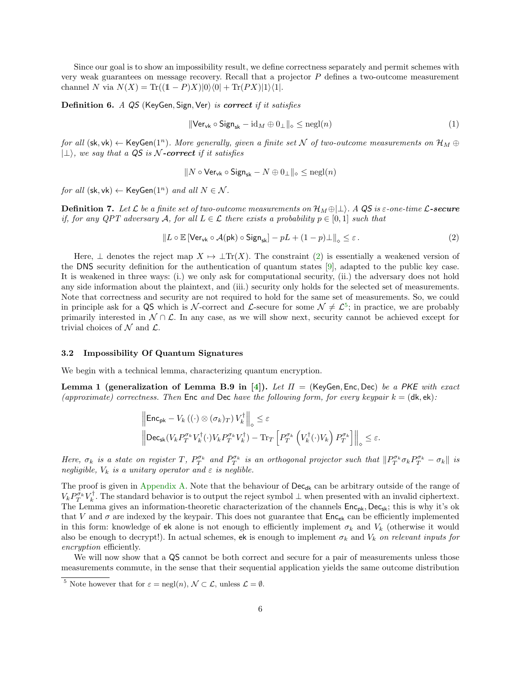Since our goal is to show an impossibility result, we define correctness separately and permit schemes with very weak guarantees on message recovery. Recall that a projector  $P$  defines a two-outcome measurement channel N via  $N(X) = \text{Tr}((1 - P)X)|0\rangle\langle 0| + \text{Tr}(PX)|1\rangle\langle 1|$ .

Definition 6. A QS (KeyGen, Sign, Ver) is correct if it satisfies

$$
\|\mathsf{Ver}_{\mathsf{vk}} \circ \mathsf{Sign}_{\mathsf{sk}} - \mathrm{id}_M \oplus 0_\perp\|_{\diamond} \le \mathrm{negl}(n) \tag{1}
$$

for all  $(\mathsf{sk}, \mathsf{vk}) \leftarrow \mathsf{KeyGen}(1^n)$ . More generally, given a finite set N of two-outcome measurements on  $\mathcal{H}_M \oplus$  $|\perp\rangle$ , we say that a QS is N-correct if it satisfies

$$
\|N\circ \mathsf{Ver}_\mathsf{vk} \circ \mathsf{Sign}_{\mathsf{sk}} - N \oplus 0_\perp\|_\diamond \le \mathsf{negl}(n)
$$

for all  $(\mathsf{sk}, \mathsf{vk}) \leftarrow \mathsf{KeyGen}(1^n)$  and all  $N \in \mathcal{N}$ .

**Definition 7.** Let  $\mathcal{L}$  be a finite set of two-outcome measurements on  $\mathcal{H}_M \oplus \perp$ . A QS is  $\varepsilon$ -one-time  $\mathcal{L}$ -secure if, for any QPT adversary A, for all  $L \in \mathcal{L}$  there exists a probability  $p \in [0,1]$  such that

<span id="page-5-0"></span>
$$
||L \circ \mathbb{E} \left[ \text{Ver}_{\text{vk}} \circ \mathcal{A}(\text{pk}) \circ \text{Sign}_{\text{sk}} \right] - pL + (1 - p)\bot ||_{\diamond} \le \varepsilon. \tag{2}
$$

Here,  $\perp$  denotes the reject map  $X \mapsto \perp \text{Tr}(X)$ . The constraint [\(2\)](#page-5-0) is essentially a weakened version of the DNS security definition for the authentication of quantum states [\[9\]](#page-18-9), adapted to the public key case. It is weakened in three ways: (i.) we only ask for computational security, (ii.) the adversary does not hold any side information about the plaintext, and (iii.) security only holds for the selected set of measurements. Note that correctness and security are not required to hold for the same set of measurements. So, we could in principle ask for a QS which is N-correct and L-secure for some  $\mathcal{N} \neq \mathcal{L}^5$  $\mathcal{N} \neq \mathcal{L}^5$ ; in practice, we are probably primarily interested in  $\mathcal{N} \cap \mathcal{L}$ . In any case, as we will show next, security cannot be achieved except for trivial choices of  $\mathcal N$  and  $\mathcal L$ .

#### 3.2 Impossibility Of Quantum Signatures

We begin with a technical lemma, characterizing quantum encryption.

Lemma 1 (generalization of Lemma B.9 in [\[4\]](#page-18-10)). Let  $\Pi =$  (KeyGen, Enc, Dec) be a PKE with exact (approximate) correctness. Then Enc and Dec have the following form, for every keypair  $k = (\mathsf{dk}, \mathsf{ek})$ :

<span id="page-5-2"></span>
$$
\begin{aligned}\n\left\|\mathsf{Enc}_{\mathsf{pk}} - V_k\left((\cdot) \otimes (\sigma_k)_T\right) V_k^\dagger\right\|_{\diamond} &\leq \varepsilon \\
\left\|\mathsf{Dec}_{\mathsf{sk}}(V_k P_T^{\sigma_k} V_k^\dagger(\cdot) V_k P_T^{\sigma_k} V_k^\dagger) - \mathrm{Tr}_T\left[P_T^{\sigma_k}\left(V_k^\dagger(\cdot) V_k\right) P_T^{\sigma_k}\right]\right\|_{\diamond} &\leq \varepsilon.\n\end{aligned}
$$

Here,  $\sigma_k$  is a state on register T,  $P_T^{\sigma_k}$  and  $\bar{P}_T^{\sigma_k}$  is an orthogonal projector such that  $\|P_T^{\sigma_k}\sigma_kP_T^{\sigma_k}-\sigma_k\|$  is negligible,  $V_k$  is a unitary operator and  $\varepsilon$  is neglible.

The proof is given in [Appendix](#page-19-0) [A.](#page-19-0) Note that the behaviour of  $\text{Dec}_{dk}$  can be arbitrary outside of the range of  $V_k P_T^{\sigma_k} V_k^{\dagger}$ . The standard behavior is to output the reject symbol  $\perp$  when presented with an invalid ciphertext. The Lemma gives an information-theoretic characterization of the channels  $Enc_{pk}$ , Dec<sub>sk</sub>; this is why it's ok that V and  $\sigma$  are indexed by the keypair. This does not guarantee that  $Enc_{ek}$  can be efficiently implemented in this form: knowledge of ek alone is not enough to efficiently implement  $\sigma_k$  and  $V_k$  (otherwise it would also be enough to decrypt!). In actual schemes, ek is enough to implement  $\sigma_k$  and  $V_k$  on relevant inputs for encryption efficiently.

We will now show that a QS cannot be both correct and secure for a pair of measurements unless those measurements commute, in the sense that their sequential application yields the same outcome distribution

<span id="page-5-1"></span><sup>&</sup>lt;sup>5</sup> Note however that for  $\varepsilon = \text{negl}(n)$ ,  $\mathcal{N} \subset \mathcal{L}$ , unless  $\mathcal{L} = \emptyset$ .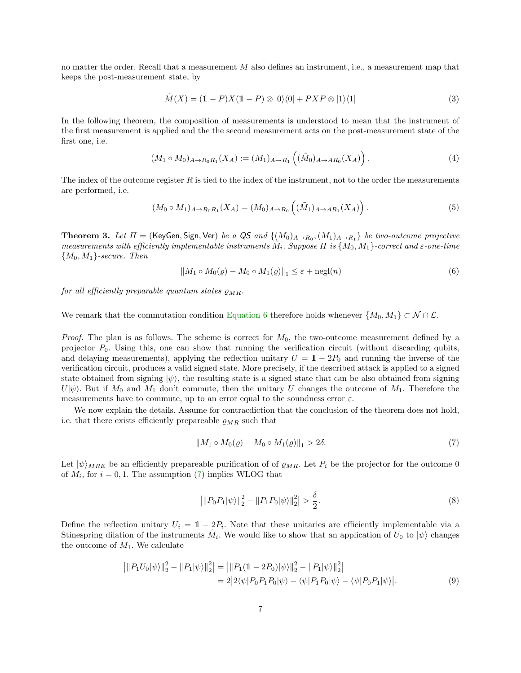no matter the order. Recall that a measurement M also defines an instrument, i.e., a measurement map that keeps the post-measurement state, by

$$
\tilde{M}(X) = (1 - P)X(1 - P) \otimes |0\rangle\langle 0| + PXP \otimes |1\rangle\langle 1| \tag{3}
$$

In the following theorem, the composition of measurements is understood to mean that the instrument of the first measurement is applied and the the second measurement acts on the post-measurement state of the first one, i.e.

$$
(M_1 \circ M_0)_{A \to R_0 R_1}(X_A) := (M_1)_{A \to R_1} ((\tilde{M}_0)_{A \to AR_0}(X_A)).
$$
\n(4)

The index of the outcome register  $R$  is tied to the index of the instrument, not to the order the measurements are performed, i.e.

$$
(M_0 \circ M_1)_{A \to R_0 R_1}(X_A) = (M_0)_{A \to R_0} \left( (\tilde{M}_1)_{A \to AR_1}(X_A) \right).
$$
 (5)

<span id="page-6-4"></span>**Theorem 3.** Let  $\Pi$  = (KeyGen, Sign, Ver) be a QS and  $\{(M_0)_{A\to R_0}, (M_1)_{A\to R_1}\}$  be two-outcome projective measurements with efficiently implementable instruments  $\tilde{M}_i$ . Suppose  $\Pi$  is  $\{M_0, M_1\}$ -correct and  $\varepsilon$ -one-time  ${M_0, M_1}$ -secure. Then

<span id="page-6-0"></span>
$$
||M_1 \circ M_0(\varrho) - M_0 \circ M_1(\varrho)||_1 \leq \varepsilon + \operatorname{negl}(n)
$$
\n(6)

for all efficiently preparable quantum states  $\rho_{MB}$ .

We remark that the commutation condition [Equation](#page-6-0) [6](#page-6-0) therefore holds whenever  $\{M_0, M_1\} \subset \mathcal{N} \cap \mathcal{L}$ .

*Proof.* The plan is as follows. The scheme is correct for  $M_0$ , the two-outcome measurement defined by a projector  $P_0$ . Using this, one can show that running the verification circuit (without discarding qubits, and delaying measurements), applying the reflection unitary  $U = 1 - 2P_0$  and running the inverse of the verification circuit, produces a valid signed state. More precisely, if the described attack is applied to a signed state obtained from signing  $|\psi\rangle$ , the resulting state is a signed state that can be also obtained from signing  $U|\psi\rangle$ . But if  $M_0$  and  $M_1$  don't commute, then the unitary U changes the outcome of  $M_1$ . Therefore the measurements have to commute, up to an error equal to the soundness error  $\varepsilon$ .

We now explain the details. Assume for contracdiction that the conclusion of the theorem does not hold, i.e. that there exists efficiently prepareable  $\rho_{MR}$  such that

<span id="page-6-1"></span>
$$
||M_1 \circ M_0(\varrho) - M_0 \circ M_1(\varrho)||_1 > 2\delta. \tag{7}
$$

Let  $|\psi\rangle_{MRE}$  be an efficiently prepareable purification of of  $\rho_{MR}$ . Let  $P_i$  be the projector for the outcome 0 of  $M_i$ , for  $i = 0, 1$ . The assumption [\(7\)](#page-6-1) implies WLOG that

<span id="page-6-3"></span><span id="page-6-2"></span>
$$
\left| \| P_0 P_1 | \psi \rangle \|^2_2 - \| P_1 P_0 | \psi \rangle \|^2_2 \right| > \frac{\delta}{2}.
$$
\n(8)

Define the reflection unitary  $U_i = 1 - 2P_i$ . Note that these unitaries are efficiently implementable via a Stinespring dilation of the instruments  $\tilde{M}_i$ . We would like to show that an application of  $U_0$  to  $|\psi\rangle$  changes the outcome of  $M_1$ . We calculate

$$
\begin{aligned} \left| \| P_1 U_0 | \psi \rangle \|^2_2 - \| P_1 | \psi \rangle \|^2_2 &= \left| \| P_1 (\mathbb{1} - 2P_0) | \psi \rangle \right|^2_2 - \| P_1 | \psi \rangle \|^2_2 \\ &= 2 \left| 2 \langle \psi | P_0 P_1 P_0 | \psi \rangle - \langle \psi | P_1 P_0 | \psi \rangle - \langle \psi | P_0 P_1 | \psi \rangle \right|. \end{aligned} \tag{9}
$$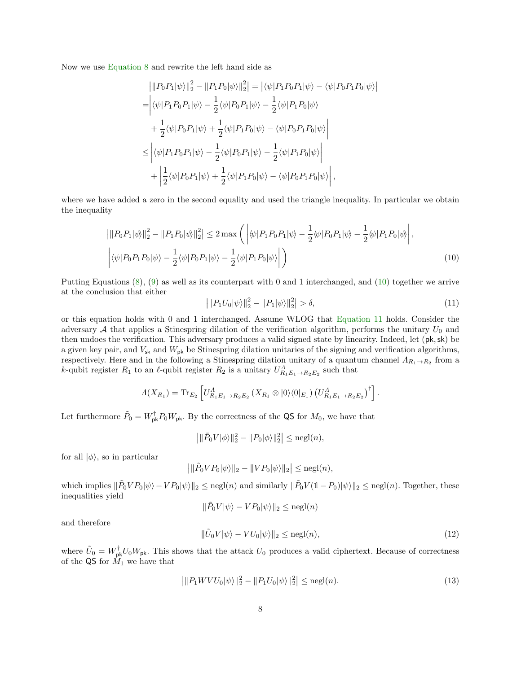Now we use [Equation](#page-6-2) [8](#page-6-2) and rewrite the left hand side as

$$
\begin{split}\n&\left|\|P_{0}P_{1}|\psi\rangle\right\|_{2}^{2} - \|P_{1}P_{0}|\psi\rangle\|_{2}^{2}\right| = \left|\langle\psi|P_{1}P_{0}P_{1}|\psi\rangle - \langle\psi|P_{0}P_{1}P_{0}|\psi\rangle\right| \\
&= \left|\langle\psi|P_{1}P_{0}P_{1}|\psi\rangle - \frac{1}{2}\langle\psi|P_{0}P_{1}|\psi\rangle - \frac{1}{2}\langle\psi|P_{1}P_{0}|\psi\rangle \\
&+ \frac{1}{2}\langle\psi|P_{0}P_{1}|\psi\rangle + \frac{1}{2}\langle\psi|P_{1}P_{0}|\psi\rangle - \langle\psi|P_{0}P_{1}P_{0}|\psi\rangle\right| \\
&\leq \left|\langle\psi|P_{1}P_{0}P_{1}|\psi\rangle - \frac{1}{2}\langle\psi|P_{0}P_{1}|\psi\rangle - \frac{1}{2}\langle\psi|P_{1}P_{0}|\psi\rangle\right| \\
&+ \left|\frac{1}{2}\langle\psi|P_{0}P_{1}|\psi\rangle + \frac{1}{2}\langle\psi|P_{1}P_{0}|\psi\rangle - \langle\psi|P_{0}P_{1}P_{0}|\psi\rangle\right|,\n\end{split}
$$

where we have added a zero in the second equality and used the triangle inequality. In particular we obtain the inequality

$$
\left| \|P_0 P_1|\psi\rangle\|_2^2 - \|P_1 P_0|\psi\rangle\|_2^2 \right| \le 2 \max \left( \left| \langle \psi | P_1 P_0 P_1 | \psi \rangle - \frac{1}{2} \langle \psi | P_0 P_1 | \psi \rangle - \frac{1}{2} \langle \psi | P_1 P_0 | \psi \rangle \right| \right),
$$
  

$$
\left| \langle \psi | P_0 P_1 P_0 | \psi \rangle - \frac{1}{2} \langle \psi | P_0 P_1 | \psi \rangle - \frac{1}{2} \langle \psi | P_1 P_0 | \psi \rangle \right| \right)
$$
(10)

Putting Equations [\(8\)](#page-6-2), [\(9\)](#page-6-3) as well as its counterpart with 0 and 1 interchanged, and [\(10\)](#page-7-0) together we arrive at the conclusion that either

<span id="page-7-1"></span><span id="page-7-0"></span>
$$
\left| \|P_1 U_0 |\psi\rangle\|_2^2 - \|P_1 |\psi\rangle\|_2^2 \right| > \delta,\tag{11}
$$

or this equation holds with 0 and 1 interchanged. Assume WLOG that [Equation](#page-7-1) [11](#page-7-1) holds. Consider the adversary  $A$  that applies a Stinespring dilation of the verification algorithm, performs the unitary  $U_0$  and then undoes the verification. This adversary produces a valid signed state by linearity. Indeed, let (pk,sk) be a given key pair, and  $V_{\rm sk}$  and  $W_{\rm pk}$  be Stinespring dilation unitaries of the signing and verification algorithms, respectively. Here and in the following a Stinespring dilation unitary of a quantum channel  $\Lambda_{R_1\to R_2}$  from a k-qubit register  $R_1$  to an  $\ell$ -qubit register  $R_2$  is a unitary  $U_{R_1E_1 \to R_2E_2}^A$  such that

$$
\Lambda(X_{R_1}) = \text{Tr}_{E_2} \left[ U_{R_1E_1 \to R_2E_2}^{\Lambda} (X_{R_1} \otimes |0\rangle\langle 0|_{E_1}) (U_{R_1E_1 \to R_2E_2}^{\Lambda})^{\dagger} \right].
$$

Let furthermore  $\tilde{P}_0 = W_{\rm pk}^{\dagger} P_0 W_{\rm pk}$ . By the correctness of the QS for  $M_0$ , we have that

$$
\left|\|\tilde{P}_0V|\phi\rangle\|_2^2 - \|P_0|\phi\rangle\|_2^2\right| \leq \mathrm{negl}(n),
$$

for all  $|\phi\rangle$ , so in particular

$$
\left| \|\tilde{P}_0 V P_0 |\psi\rangle\|_2 - \|VP_0 |\psi\rangle\|_2 \right| \leq \mathrm{negl}(n),
$$

which implies  $\|\tilde{P}_0VP_0|\psi\rangle - VP_0|\psi\rangle\|_2 \leq$  negl(n) and similarly  $\|\tilde{P}_0V(1-P_0)|\psi\rangle\|_2 \leq$  negl(n). Together, these inequalities yield

$$
\|\tilde{P}_0 V|\psi\rangle - VP_0|\psi\rangle\|_2 \leq \mathrm{negl}(n)
$$

and therefore

<span id="page-7-3"></span><span id="page-7-2"></span>
$$
\|\tilde{U}_0 V|\psi\rangle - VU_0|\psi\rangle\|_2 \le \text{negl}(n),\tag{12}
$$

where  $\tilde{U}_0 = W_{\rm pk}^{\dagger} U_0 W_{\rm pk}$ . This shows that the attack  $U_0$  produces a valid ciphertext. Because of correctness of the QS for  $\hat{M_1}$  we have that

$$
\left| \| P_1 W V U_0 |\psi \rangle \|_2^2 - \| P_1 U_0 |\psi \rangle \|_2^2 \right| \leq \text{negl}(n). \tag{13}
$$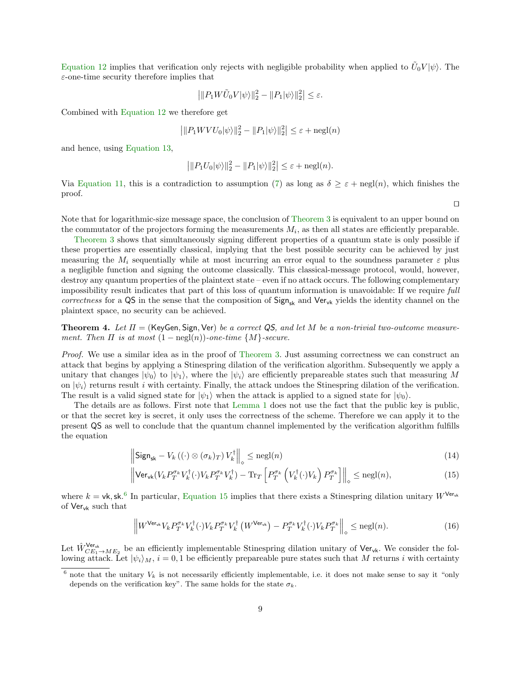[Equation](#page-7-2) [12](#page-7-2) implies that verification only rejects with negligible probability when applied to  $\tilde{U}_0 V |\psi\rangle$ . The  $\varepsilon$ -one-time security therefore implies that

$$
\left| ||P_1 W \tilde{U}_0 V |\psi\rangle||_2^2 - ||P_1|\psi\rangle||_2^2 \right| \le \varepsilon.
$$

Combined with [Equation](#page-7-2) [12](#page-7-2) we therefore get

$$
\left| ||P_1W V U_0|\psi\rangle||_2^2 - ||P_1|\psi\rangle||_2^2 \right| \leq \varepsilon + \text{negl}(n)
$$

and hence, using [Equation](#page-7-3) [13,](#page-7-3)

$$
\left|\|P_1U_0|\psi\rangle\|_2^2 - \|P_1|\psi\rangle\|_2^2\right| \leq \varepsilon + \operatorname{negl}(n).
$$

Via [Equation](#page-7-1) [11,](#page-7-1) this is a contradiction to assumption [\(7\)](#page-6-1) as long as  $\delta > \varepsilon + \text{negl}(n)$ , which finishes the proof.

Note that for logarithmic-size message space, the conclusion of [Theorem](#page-6-4) [3](#page-6-4) is equivalent to an upper bound on the commutator of the projectors forming the measurements  $M_i$ , as then all states are efficiently preparable.

[Theorem](#page-6-4) [3](#page-6-4) shows that simultaneously signing different properties of a quantum state is only possible if these properties are essentially classical, implying that the best possible security can be achieved by just measuring the  $M_i$  sequentially while at most incurring an error equal to the soundness parameter  $\varepsilon$  plus a negligible function and signing the outcome classically. This classical-message protocol, would, however, destroy any quantum properties of the plaintext state – even if no attack occurs. The following complementary impossibility result indicates that part of this loss of quantum information is unavoidable: If we require full correctness for a  $QS$  in the sense that the composition of  $Sign_{sk}$  and  $Ver_{vk}$  yields the identity channel on the plaintext space, no security can be achieved.

**Theorem 4.** Let  $\Pi$  = (KeyGen, Sign, Ver) be a correct QS, and let M be a non-trivial two-outcome measurement. Then  $\Pi$  is at most  $(1 - \text{negl}(n))$ -one-time  $\{M\}$ -secure.

Proof. We use a similar idea as in the proof of [Theorem](#page-6-4) [3.](#page-6-4) Just assuming correctness we can construct an attack that begins by applying a Stinespring dilation of the verification algorithm. Subsequently we apply a unitary that changes  $|\psi_0\rangle$  to  $|\psi_1\rangle$ , where the  $|\psi_i\rangle$  are efficiently prepareable states such that measuring M on  $|\psi_i\rangle$  returns result i with certainty. Finally, the attack undoes the Stinespring dilation of the verification. The result is a valid signed state for  $|\psi_1\rangle$  when the attack is applied to a signed state for  $|\psi_0\rangle$ .

The details are as follows. First note that [Lemma](#page-5-2) [1](#page-5-2) does not use the fact that the public key is public, or that the secret key is secret, it only uses the correctness of the scheme. Therefore we can apply it to the present QS as well to conclude that the quantum channel implemented by the verification algorithm fulfills the equation

$$
\left\| \mathsf{Sign}_{\mathsf{sk}} - V_k \left( (\cdot) \otimes (\sigma_k)_T \right) V_k^{\dagger} \right\|_{\diamond} \leq \operatorname{negl}(n) \tag{14}
$$

$$
\left\| \mathsf{Ver}_{\mathsf{vk}}(V_k P_T^{\sigma_k} V_k^{\dagger}(\cdot) V_k P_T^{\sigma_k} V_k^{\dagger}) - \mathrm{Tr}_T \left[ P_T^{\sigma_k} \left( V_k^{\dagger}(\cdot) V_k \right) P_T^{\sigma_k} \right] \right\|_{\diamond} \leq \mathrm{negl}(n),\tag{15}
$$

where  $k = v$ k, sk.<sup>[6](#page-8-0)</sup> In particular, [Equation](#page-8-1) [15](#page-8-1) implies that there exists a Stinespring dilation unitary  $W^{\vee}$ <sup>er</sup> of Ver<sub>vk</sub> such that

<span id="page-8-2"></span>
$$
\left\|W^{\mathsf{Ver}_{\mathsf{vk}}V_k}P_T^{\sigma_k}V_k^{\dagger}(\cdot)V_kP_T^{\sigma_k}V_k^{\dagger}\left(W^{\mathsf{Ver}_{\mathsf{vk}}}\right) - P_T^{\sigma_k}V_k^{\dagger}(\cdot)V_kP_T^{\sigma_k}\right\|_{\diamond} \leq \text{negl}(n). \tag{16}
$$

Let  $\hat{W}_{CE_1\to ME_2}^{\text{Ver}_{vk}}$  be an efficiently implementable Stinespring dilation unitary of  $\text{Ver}_{vk}$ . We consider the following attack. Let  $|\psi_i\rangle_M$ ,  $i = 0, 1$  be efficiently prepareable pure states such that M returns i with certainty

<span id="page-8-3"></span><span id="page-8-1"></span> $\Box$ 

<span id="page-8-0"></span> $6$  note that the unitary  $V_k$  is not necessarily efficiently implementable, i.e. it does not make sense to say it "only depends on the verification key". The same holds for the state  $\sigma_k$ .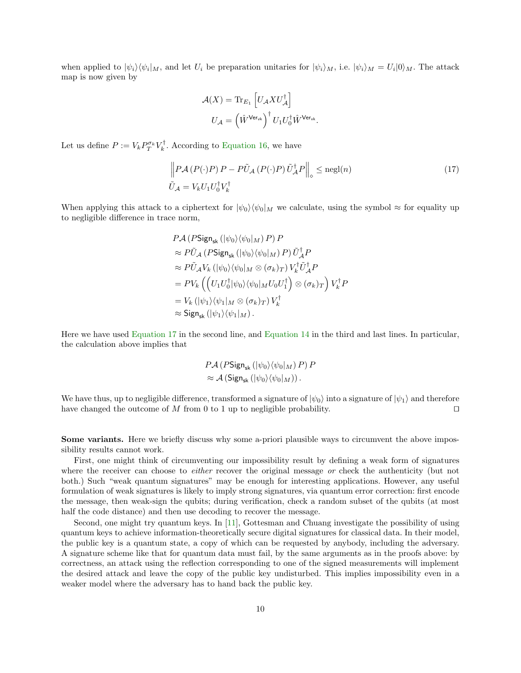when applied to  $|\psi_i\rangle\langle\psi_i|_M$ , and let  $U_i$  be preparation unitaries for  $|\psi_i\rangle_M$ , i.e.  $|\psi_i\rangle_M = U_i|0\rangle_M$ . The attack map is now given by

<span id="page-9-0"></span>
$$
\mathcal{A}(X) = \text{Tr}_{E_1} \left[ U_{\mathcal{A}} X U_{\mathcal{A}}^{\dagger} \right]
$$

$$
U_{\mathcal{A}} = \left( \hat{W}^{\text{Ver}_{\text{vk}}} \right)^{\dagger} U_1 U_0^{\dagger} \hat{W}^{\text{Ver}_{\text{vk}}}.
$$

Let us define  $P := V_k P_T^{\sigma_k} V_k^{\dagger}$ . According to [Equation](#page-8-2) [16,](#page-8-2) we have

$$
\left\| P\mathcal{A}\left(P(\cdot)P\right)P - P\tilde{U}_{\mathcal{A}}\left(P(\cdot)P\right)\tilde{U}_{\mathcal{A}}^{\dagger}P \right\|_{\diamond} \leq \text{negl}(n) \tag{17}
$$
\n
$$
\tilde{U}_{\mathcal{A}} = V_k U_1 U_0^{\dagger} V_k^{\dagger}
$$

When applying this attack to a ciphertext for  $|\psi_0\rangle\langle\psi_0|_M$  we calculate, using the symbol  $\approx$  for equality up to negligible difference in trace norm,

$$
P\mathcal{A} (PSign_{sk} (|\psi_0\rangle\langle\psi_0|_M) P) P
$$
  
\n
$$
\approx P\tilde{U}_{\mathcal{A}} (PSign_{sk} (|\psi_0\rangle\langle\psi_0|_M) P) \tilde{U}_{\mathcal{A}}^{\dagger} P
$$
  
\n
$$
\approx P\tilde{U}_{\mathcal{A}} V_k (|\psi_0\rangle\langle\psi_0|_M \otimes (\sigma_k)_T) V_k^{\dagger} \tilde{U}_{\mathcal{A}}^{\dagger} P
$$
  
\n
$$
= PV_k \left( \left( U_1 U_0^{\dagger} |\psi_0\rangle\langle\psi_0|_M U_0 U_1^{\dagger} \right) \otimes (\sigma_k)_T \right) V_k^{\dagger} P
$$
  
\n
$$
= V_k (|\psi_1\rangle\langle\psi_1|_M \otimes (\sigma_k)_T) V_k^{\dagger}
$$
  
\n
$$
\approx Sign_{sk} (|\psi_1\rangle\langle\psi_1|_M).
$$

Here we have used [Equation](#page-9-0) [17](#page-9-0) in the second line, and [Equation](#page-8-3) [14](#page-8-3) in the third and last lines. In particular, the calculation above implies that

$$
P\mathcal{A} (P\text{Sign}_{\text{sk}} (\vert \psi_0 \rangle \langle \psi_0 \vert_M) P) P \approx \mathcal{A} (\text{Sign}_{\text{sk}} (\vert \psi_0 \rangle \langle \psi_0 \vert_M)) .
$$

We have thus, up to negligible difference, transformed a signature of  $|\psi_0\rangle$  into a signature of  $|\psi_1\rangle$  and therefore have changed the outcome of  $M$  from 0 to 1 up to negligible probability.  $\square$ 

Some variants. Here we briefly discuss why some a-priori plausible ways to circumvent the above impossibility results cannot work.

First, one might think of circumventing our impossibility result by defining a weak form of signatures where the receiver can choose to *either* recover the original message or check the authenticity (but not both.) Such "weak quantum signatures" may be enough for interesting applications. However, any useful formulation of weak signatures is likely to imply strong signatures, via quantum error correction: first encode the message, then weak-sign the qubits; during verification, check a random subset of the qubits (at most half the code distance) and then use decoding to recover the message.

Second, one might try quantum keys. In [\[11\]](#page-18-11), Gottesman and Chuang investigate the possibility of using quantum keys to achieve information-theoretically secure digital signatures for classical data. In their model, the public key is a quantum state, a copy of which can be requested by anybody, including the adversary. A signature scheme like that for quantum data must fail, by the same arguments as in the proofs above: by correctness, an attack using the reflection corresponding to one of the signed measurements will implement the desired attack and leave the copy of the public key undisturbed. This implies impossibility even in a weaker model where the adversary has to hand back the public key.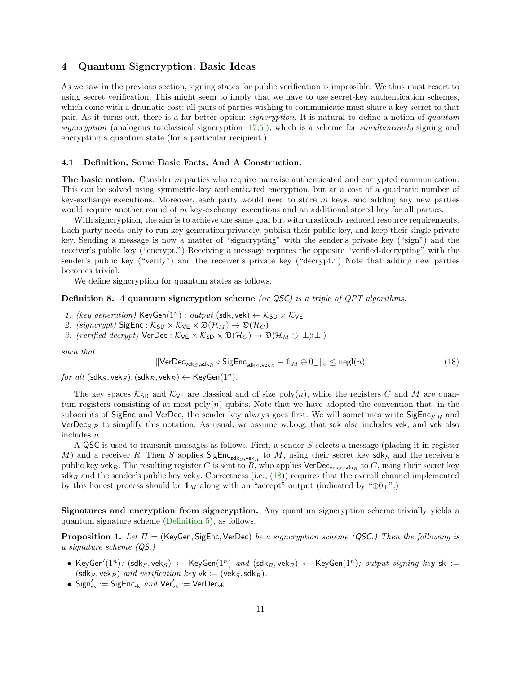### 4 Quantum Signcryption: Basic Ideas

As we saw in the previous section, signing states for public verification is impossible. We thus must resort to using secret verification. This might seem to imply that we have to use secret-key authentication schemes, which come with a dramatic cost: all pairs of parties wishing to communicate must share a key secret to that pair. As it turns out, there is a far better option: *signcryption*. It is natural to define a notion of *quantum* signcryption (analogous to classical signcryption  $[17,5]$  $[17,5]$ ), which is a scheme for *simultaneously* signing and encrypting a quantum state (for a particular recipient.)

#### 4.1 Definition, Some Basic Facts, And A Construction.

The basic notion. Consider  $m$  parties who require pairwise authenticated and encrypted communication. This can be solved using symmetric-key authenticated encryption, but at a cost of a quadratic number of key-exchange executions. Moreover, each party would need to store  $m$  keys, and adding any new parties would require another round of m key-exchange executions and an additional stored key for all parties.

With signcryption, the aim is to achieve the same goal but with drastically reduced resource requirements. Each party needs only to run key generation privately, publish their public key, and keep their single private key. Sending a message is now a matter of "signcrypting" with the sender's private key ("sign") and the receiver's public key ("encrypt.") Receiving a message requires the opposite "verified-decrypting" with the sender's public key ("verify") and the receiver's private key ("decrypt.") Note that adding new parties becomes trivial.

We define signcryption for quantum states as follows.

### Definition 8. A quantum signcryption scheme (or QSC) is a triple of QPT algorithms:

- 1. (key generation)  $KeyGen(1^n)$ : output (sdk, vek)  $\leftarrow \mathcal{K}_{SD} \times \mathcal{K}_{VE}$
- 2. (signcrypt)  $\text{SigEnc}: \mathcal{K}_{SD} \times \mathcal{K}_{VE} \times \mathfrak{D}(\mathcal{H}_M) \to \mathfrak{D}(\mathcal{H}_C)$
- 3. (verified decrypt)  $\text{VerDec}: \mathcal{K}_{\text{VE}} \times \mathcal{K}_{\text{SD}} \times \mathfrak{D}(\mathcal{H}_{C}) \to \mathfrak{D}(\mathcal{H}_{M} \oplus |\perp \setminus \perp|)$

such that

<span id="page-10-1"></span><span id="page-10-0"></span>
$$
\|\text{VerDec}_{\text{vek}_S,\text{sdk}_R} \circ \text{SigEnc}_{\text{sdk}_S,\text{vek}_R} - 1\|_M \oplus 0_\perp \|_\diamond \le \text{negl}(n) \tag{18}
$$

for all  $(\textsf{sdk}_S, \textsf{vek}_S), (\textsf{sdk}_R, \textsf{vek}_R) \leftarrow \textsf{KeyGen}(1^n)$ .

The key spaces  $\mathcal{K}_{SD}$  and  $\mathcal{K}_{VE}$  are classical and of size poly $(n)$ , while the registers C and M are quantum registers consisting of at most  $poly(n)$  qubits. Note that we have adopted the convention that, in the subscripts of SigEnc and VerDec, the sender key always goes first. We will sometimes write SigEnc<sub>S,R</sub> and VerDec<sub>S,R</sub> to simplify this notation. As usual, we assume w.l.o.g. that sdk also includes vek, and vek also includes n.

A QSC is used to transmit messages as follows. First, a sender S selects a message (placing it in register M) and a receiver R. Then S applies  $\mathsf{SigEnc}_{\mathsf{sdk}_S, \mathsf{vek}_R}$  to M, using their secret key  $\mathsf{sdk}_S$  and the receiver's public key vek<sub>R</sub>. The resulting register C is sent to R, who applies VerDec<sub>veks, sdk<sub>R</sub> to C, using their secret key</sub>  $\mathsf{sdk}_R$  and the sender's public key veks. Correctness (i.e., [\(18\)](#page-10-0)) requires that the overall channel implemented by this honest process should be  $1_M$  along with an "accept" output (indicated by " $oplus 1$ ".)

Signatures and encryption from signcryption. Any quantum signcryption scheme trivially yields a quantum signature scheme [\(Definition](#page-4-0) [5\)](#page-4-0), as follows.

**Proposition 1.** Let  $\Pi$  = (KeyGen, SigEnc, VerDec) be a signcryption scheme (QSC.) Then the following is a signature scheme (QS.)

- KeyGen' $(1^n)$ :  $(\textsf{sdk}_S, \textsf{vek}_S) \leftarrow \textsf{KeyGen}(1^n)$  and  $(\textsf{sdk}_R, \textsf{vek}_R) \leftarrow \textsf{KeyGen}(1^n)$ ; output signing key sk :=  $(\mathsf{sdk}_S, \mathsf{vek}_R)$  and verification key  $\mathsf{vk} := (\mathsf{vek}_S, \mathsf{sdk}_R)$ .
- $Sign_{sk}^{'} := SigEnc_{sk} \text{ and } Ver'_{vk} := VerDec_{vk}.$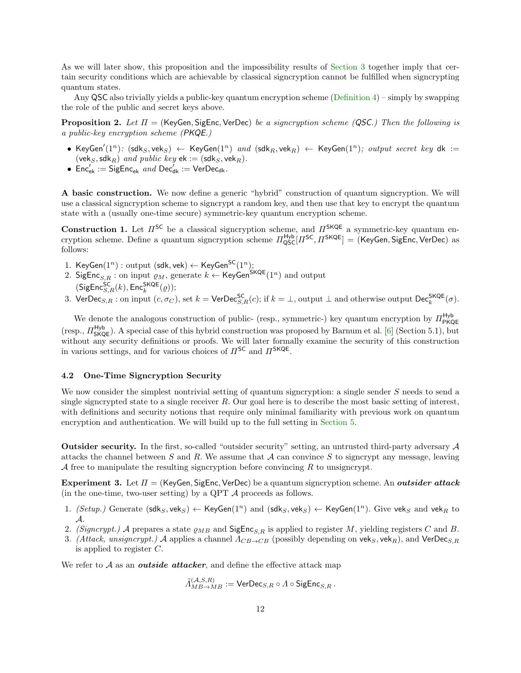As we will later show, this proposition and the impossibility results of [Section](#page-4-1) [3](#page-4-1) together imply that certain security conditions which are achievable by classical signcryption cannot be fulfilled when signcrypting quantum states.

Any QSC also trivially yields a public-key quantum encryption scheme [\(Definition](#page-3-0) [4\)](#page-3-0) – simply by swapping the role of the public and secret keys above.

**Proposition 2.** Let  $\Pi$  = (KeyGen, SigEnc, VerDec) be a signcryption scheme (QSC.) Then the following is a public-key encryption scheme (PKQE.)

- <span id="page-11-1"></span>• KeyGen' $(1^n)$ :  $(\textsf{sdk}_S, \textsf{vek}_S) \leftarrow \textsf{KeyGen}(1^n)$  and  $(\textsf{sdk}_R, \textsf{vek}_R) \leftarrow \textsf{KeyGen}(1^n)$ ; output secret key  $\textsf{dk} :=$ (vek<sub>S</sub>, sdk<sub>R</sub>) and public key ek := (sdk<sub>S</sub>, vek<sub>R</sub>).
- $Enc'_{ek} := SigEnc_{ek} \text{ and Dec}'_{dk} := VerDec_{dk}.$

A basic construction. We now define a generic "hybrid" construction of quantum signcryption. We will use a classical signcryption scheme to signcrypt a random key, and then use that key to encrypt the quantum state with a (usually one-time secure) symmetric-key quantum encryption scheme.

<span id="page-11-2"></span>**Construction 1.** Let  $\Pi^{\mathsf{SC}}$  be a classical signcryption scheme, and  $\Pi^{\mathsf{SKQE}}$  a symmetric-key quantum encryption scheme. Define a quantum signcryption scheme  $\Pi_{\rm QSC}^{\rm Hyb}[H^{\rm SC},H^{\rm SKQE}]=$  (KeyGen, SigEnc, VerDec) as follows:

- 1. KeyGen $(1^n)$  : output (sdk, vek)  $\leftarrow$  KeyGen $^{\mathsf{SC}}(1^n);$
- 2. SigEnc<sub>S,R</sub>: on input  $\varrho_M$ , generate  $k \leftarrow$  KeyGen<sup>SKQE</sup>(1<sup>n</sup>) and output  $(SigEnc<sub>S,R</sub><sup>SC</sup>(k), Enc<sub>k</sub><sup>SKQE</sup>( $\varrho$ ));$
- 3. VerDec<sub>S,R</sub>: on input  $(c, \sigma_C)$ , set  $k = \text{VerDec}_{S,R}^{\text{SC}}(c)$ ; if  $k = \perp$ , output  $\perp$  and otherwise output  $\text{Dec}_{k}^{\text{SKQE}}(\sigma)$ .

We denote the analogous construction of public- (resp., symmetric-) key quantum encryption by  $\Pi_{\text{PKQE}}^{\text{Hyb}}$ (resp.,  $\pi_{\mathsf{SKQE}}^{\mathsf{Hyb}}$ ). A special case of this hybrid construction was proposed by Barnum et al. [\[6\]](#page-18-0) (Section 5.1), but without any security definitions or proofs. We will later formally examine the security of this construction in various settings, and for various choices of  $\Pi^{\mathsf{SC}}$  and  $\Pi^{\mathsf{SKQE}}$ .

### 4.2 One-Time Signcryption Security

We now consider the simplest nontrivial setting of quantum signcryption: a single sender S needs to send a single signcrypted state to a single receiver  $R$ . Our goal here is to describe the most basic setting of interest, with definitions and security notions that require only minimal familiarity with previous work on quantum encryption and authentication. We will build up to the full setting in [Section](#page-13-0) [5.](#page-13-0)

Outsider security. In the first, so-called "outsider security" setting, an untrusted third-party adversary A attacks the channel between S and R. We assume that A can convince S to signcrypt any message, leaving A free to manipulate the resulting signcryption before convincing  $R$  to unsigncrypt.

<span id="page-11-0"></span>Experiment 3. Let  $\Pi = (KeyGen, SigEnc, VerDec)$  be a quantum signcryption scheme. An *outsider attack* (in the one-time, two-user setting) by a QPT  $\mathcal A$  proceeds as follows.

- 1.  $(Setup.)$  Generate  $(sdk_S, vek_S) \leftarrow KeyGen(1^n)$  and  $(sdk_S, vek_S) \leftarrow KeyGen(1^n)$ . Give veks and vek<sub>R</sub> to A.
- 2. (Signcrypt.) A prepares a state  $\rho_{MB}$  and SigEnc<sub>S,R</sub> is applied to register M, yielding registers C and B.
- 3. (Attack, unsigncrypt.) A applies a channel  $\Lambda_{CB\rightarrow CB}$  (possibly depending on vek<sub>S</sub>, vek<sub>R</sub>), and VerDec<sub>S,R</sub> is applied to register C.

We refer to  $A$  as an *outside attacker*, and define the effective attack map

$$
\tilde{\varLambda}^{(\mathcal{A},S,R)}_{MB \to MB} := \mathsf{VerDec}_{S,R} \circ \varLambda \circ \mathsf{SigEnc}_{S,R}\,.
$$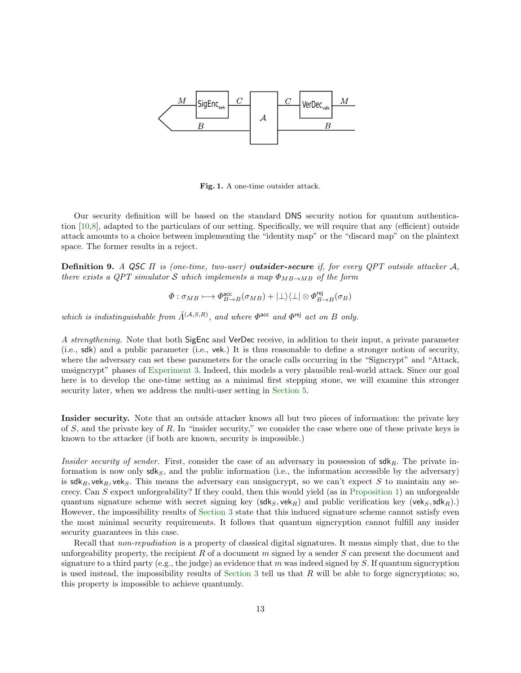

Fig. 1. A one-time outsider attack.

Our security definition will be based on the standard DNS security notion for quantum authentication [\[10](#page-18-6)[,8\]](#page-18-12), adapted to the particulars of our setting. Specifically, we will require that any (efficient) outside attack amounts to a choice between implementing the "identity map" or the "discard map" on the plaintext space. The former results in a reject.

<span id="page-12-0"></span>**Definition 9.** A QSC  $\Pi$  is (one-time, two-user) **outsider-secure** if, for every QPT outside attacker  $A$ , there exists a QPT simulator S which implements a map  $\Phi_{MB\rightarrow MB}$  of the form

$$
\varPhi: \sigma_{MB} \longmapsto \varPhi_{B \rightarrow B}^{\rm acc}(\sigma_{MB}) + |\bot\rangle\langle\bot| \otimes \varPhi_{B \rightarrow B}^{\rm rej}(\sigma_B)
$$

which is indistinguishable from  $\tilde{\Lambda}^{(\mathcal{A},S,R)}$ , and where  $\Phi^{\text{acc}}$  and  $\Phi^{\text{rej}}$  act on B only.

A strengthening. Note that both SigEnc and VerDec receive, in addition to their input, a private parameter (i.e., sdk) and a public parameter (i.e., vek.) It is thus reasonable to define a stronger notion of security, where the adversary can set these parameters for the oracle calls occurring in the "Signcrypt" and "Attack, unsigncrypt" phases of [Experiment](#page-11-0) [3.](#page-11-0) Indeed, this models a very plausible real-world attack. Since our goal here is to develop the one-time setting as a minimal first stepping stone, we will examine this stronger security later, when we address the multi-user setting in [Section](#page-13-0) [5.](#page-13-0)

Insider security. Note that an outside attacker knows all but two pieces of information: the private key of S, and the private key of R. In "insider security," we consider the case where one of these private keys is known to the attacker (if both are known, security is impossible.)

*Insider security of sender.* First, consider the case of an adversary in possession of  $\mathsf{sdk}_R$ . The private information is now only  $sdk_S$ , and the public information (i.e., the information accessible by the adversary) is  $sdk_R$ , vek<sub>R</sub>, vek<sub>S</sub>. This means the adversary can unsigncrypt, so we can't expect S to maintain any secrecy. Can  $S$  expect unforgeability? If they could, then this would yield (as in [Proposition](#page-10-1) [1\)](#page-10-1) an unforgeable quantum signature scheme with secret signing key ( $\mathsf{sdk}_S$ ,  $\mathsf{vek}_R$ ) and public verification key ( $\mathsf{vek}_S$ ,  $\mathsf{sdk}_R$ ).) However, the impossibility results of [Section](#page-4-1) [3](#page-4-1) state that this induced signature scheme cannot satisfy even the most minimal security requirements. It follows that quantum signcryption cannot fulfill any insider security guarantees in this case.

Recall that *non-repudiation* is a property of classical digital signatures. It means simply that, due to the unforgeability property, the recipient R of a document m signed by a sender S can present the document and signature to a third party (e.g., the judge) as evidence that m was indeed signed by  $S$ . If quantum signcryption is used instead, the impossibility results of [Section](#page-4-1) [3](#page-4-1) tell us that  $R$  will be able to forge signcryptions; so, this property is impossible to achieve quantumly.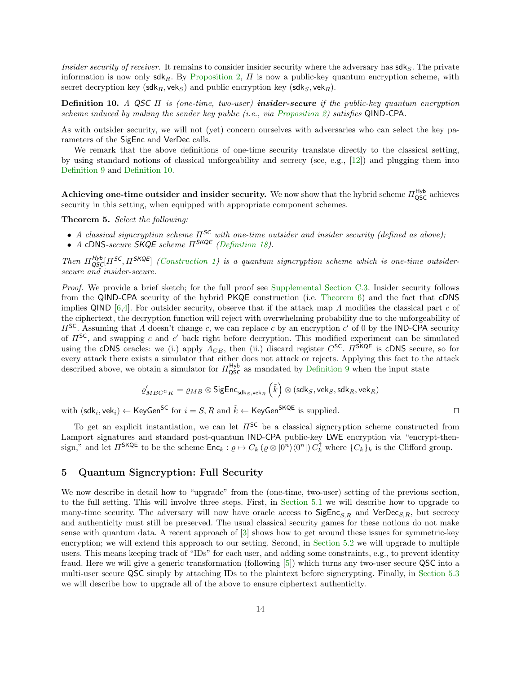*Insider security of receiver.* It remains to consider insider security where the adversary has  $\mathsf{sdk}_S$ . The private information is now only  $\mathsf{sdk}_R$ . By [Proposition](#page-11-1) [2,](#page-11-1)  $\Pi$  is now a public-key quantum encryption scheme, with secret decryption key (sdk<sub>R</sub>, vek<sub>S</sub>) and public encryption key (sdk<sub>S</sub>, vek<sub>R</sub>).

<span id="page-13-1"></span>**Definition 10.** A QSC  $\Pi$  is (one-time, two-user) **insider-secure** if the public-key quantum encryption scheme induced by making the sender key public (i.e., via [Proposition](#page-11-1) [2\)](#page-11-1) satisfies QIND-CPA.

As with outsider security, we will not (yet) concern ourselves with adversaries who can select the key parameters of the SigEnc and VerDec calls.

We remark that the above definitions of one-time security translate directly to the classical setting, by using standard notions of classical unforgeability and secrecy (see, e.g., [\[12\]](#page-18-13)) and plugging them into [Definition](#page-12-0) [9](#page-12-0) and [Definition](#page-13-1) [10.](#page-13-1)

**Achieving one-time outsider and insider security.** We now show that the hybrid scheme  $\Pi_{\text{QSC}}^{\text{Hyb}}$  achieves security in this setting, when equipped with appropriate component schemes.

Theorem 5. Select the following:

- A classical signcryption scheme  $\Pi^{\mathsf{SC}}$  with one-time outsider and insider security (defined as above);
- A cDNS-secure SKQE scheme  $\Pi^{SKQE}$  [\(Definition](#page-26-2) [18\)](#page-26-2).

Then  $\Pi_{QSC}^{Hyb}[H^{SC},H^{SKQE}]$  [\(Construction](#page-11-2) [1\)](#page-11-2) is a quantum signcryption scheme which is one-time outsidersecure and insider-secure.

Proof. We provide a brief sketch; for the full proof see [Supplemental Section](#page-27-0) [C.3.](#page-27-0) Insider security follows from the QIND-CPA security of the hybrid PKQE construction (i.e. [Theorem](#page-15-0) [6\)](#page-15-0) and the fact that cDNS implies QIND [\[6](#page-18-0)[,4\]](#page-18-10). For outsider security, observe that if the attack map  $\Lambda$  modifies the classical part c of the ciphertext, the decryption function will reject with overwhelming probability due to the unforgeability of  $\Pi^{\mathsf{SC}}$ . Assuming that  $\Lambda$  doesn't change c, we can replace c by an encryption c' of 0 by the IND-CPA security of  $\Pi^{\mathsf{SC}}$ , and swapping c and c' back right before decryption. This modified experiment can be simulated using the cDNS oracles: we (i.) apply  $\Lambda_{CB}$ , then (ii.) discard register  $C^{\text{SC}}$ .  $\Pi^{\text{SKQE}}$  is cDNS secure, so for every attack there exists a simulator that either does not attack or rejects. Applying this fact to the attack described above, we obtain a simulator for  $\Pi_{\text{QSC}}^{\text{Hyb}}$  as mandated by [Definition](#page-12-0) [9](#page-12-0) when the input state

<span id="page-13-2"></span>
$$
\varrho'_{MBC^{\mathrm{Cl}}K}=\varrho_{MB}\otimes \mathsf{SigEnc}_{\mathsf{sdk}_S,\mathsf{vek}_R}\left(\tilde{k}\right)\otimes\left(\mathsf{sdk}_S,\mathsf{vek}_S,\mathsf{sdk}_R,\mathsf{vek}_R\right)
$$

with  $(\mathsf{sdk}_i, \mathsf{vek}_i) \leftarrow \mathsf{KeyGen}^{\mathsf{SC}}$  for  $i = S, R$  and  $\tilde{k} \leftarrow \mathsf{KeyGen}^{\mathsf{SKQE}}$  is supplied.

To get an explicit instantiation, we can let  $\Pi^{\mathsf{SC}}$  be a classical signcryption scheme constructed from Lamport signatures and standard post-quantum IND-CPA public-key LWE encryption via "encrypt-thensign," and let  $\Pi^{\mathsf{SKQE}}$  to be the scheme  $\mathsf{Enc}_k: \varrho \mapsto C_k (\varrho \otimes |0^n\rangle\langle 0^n|) C_k^{\dagger}$  where  $\{C_k\}_k$  is the Clifford group.

### <span id="page-13-0"></span>5 Quantum Signcryption: Full Security

We now describe in detail how to "upgrade" from the (one-time, two-user) setting of the previous section, to the full setting. This will involve three steps. First, in [Section](#page-14-0) [5.1](#page-14-0) we will describe how to upgrade to many-time security. The adversary will now have oracle access to  $\text{SigEnc}_{S,R}$  and  $\text{VerDec}_{S,R}$ , but secrecy and authenticity must still be preserved. The usual classical security games for these notions do not make sense with quantum data. A recent approach of [\[3\]](#page-18-2) shows how to get around these issues for symmetric-key encryption; we will extend this approach to our setting. Second, in [Section](#page-15-1) [5.2](#page-15-1) we will upgrade to multiple users. This means keeping track of "IDs" for each user, and adding some constraints, e.g., to prevent identity fraud. Here we will give a generic transformation (following [\[5\]](#page-18-4)) which turns any two-user secure QSC into a multi-user secure QSC simply by attaching IDs to the plaintext before signcrypting. Finally, in [Section](#page-17-0) [5.3](#page-17-0) we will describe how to upgrade all of the above to ensure ciphertext authenticity.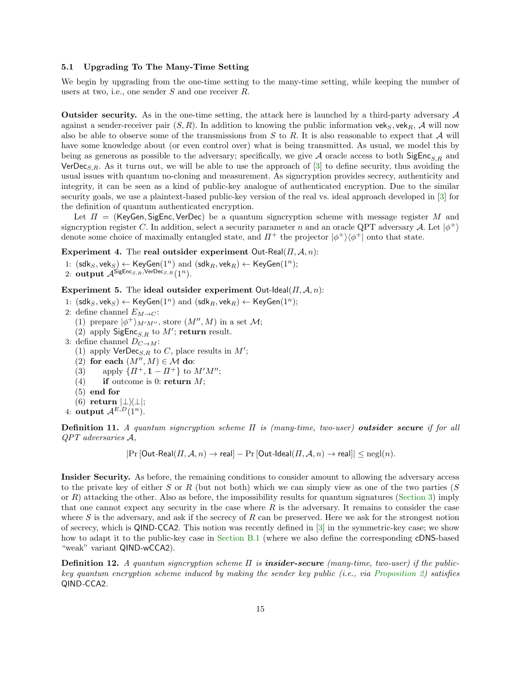#### <span id="page-14-0"></span>5.1 Upgrading To The Many-Time Setting

We begin by upgrading from the one-time setting to the many-time setting, while keeping the number of users at two, i.e., one sender  $S$  and one receiver  $R$ .

Outsider security. As in the one-time setting, the attack here is launched by a third-party adversary A against a sender-receiver pair  $(S, R)$ . In addition to knowing the public information veks, vek<sub>R</sub>, A will now also be able to observe some of the transmissions from  $S$  to  $R$ . It is also reasonable to expect that  $\mathcal A$  will have some knowledge about (or even control over) what is being transmitted. As usual, we model this by being as generous as possible to the adversary; specifically, we give A oracle access to both SigEnc<sub>S,R</sub> and  $VerDec<sub>S,R</sub>$ . As it turns out, we will be able to use the approach of [\[3\]](#page-18-2) to define security, thus avoiding the usual issues with quantum no-cloning and measurement. As signcryption provides secrecy, authenticity and integrity, it can be seen as a kind of public-key analogue of authenticated encryption. Due to the similar security goals, we use a plaintext-based public-key version of the real vs. ideal approach developed in [\[3\]](#page-18-2) for the definition of quantum authenticated encryption.

Let  $\Pi =$  (KeyGen, SigEnc, VerDec) be a quantum signcryption scheme with message register M and signcryption register C. In addition, select a security parameter n and an oracle QPT adversary A. Let  $|\phi^+\rangle$ denote some choice of maximally entangled state, and  $\Pi^+$  the projector  $|\phi^+\rangle\langle\phi^+|$  onto that state.

Experiment 4. The real outsider experiment Out-Real $(\Pi, \mathcal{A}, n)$ :

1:  $(sdk_S, vek_S) \leftarrow \text{KeyGen}(1^n)$  and  $(sdk_B, vek_B) \leftarrow \text{KeyGen}(1^n);$ 

2: output  $\mathcal{A}^{\mathsf{SigEnc}_{S,R},\mathsf{VerDec}_{S,R}(\{1^n\})}$ .

Experiment 5. The ideal outsider experiment Out-Ideal( $\Pi$ ,  $A$ , n):

- 1:  $(sdk_S, vek_S) \leftarrow \text{KeyGen}(1^n)$  and  $(sdk_R, vek_R) \leftarrow \text{KeyGen}(1^n);$
- <span id="page-14-1"></span>2: define channel  $E_{M\to C}$ :
	- (1) prepare  $|\phi^+\rangle_{M'M''}$ , store  $(M'', M)$  in a set  $\mathcal{M}$ ;
	- (2) apply  $\mathsf{SigEnc}_{S,R}$  to  $M'$ ; return result.
- <span id="page-14-2"></span>3: define channel  $D_{C\rightarrow M}$ :
	- (1) apply  $\mathsf{VerDec}_{S,R}$  to C, place results in  $M'$ ;
	- (2) for each  $(M'', M) \in \mathcal{M}$  do:
	- (3) apply  $\{ \Pi^+, \mathbb{1} \Pi^+ \}$  to  $M'M''$ ;
	- (4) if outcome is 0: return  $M$ ;
	- (5) end for
	- (6) return  $|\perp\rangle\langle\perp|$ ;
- 4: output  $\mathcal{A}^{E,D}(1^n)$ .

**Definition 11.** A quantum signcryption scheme  $\Pi$  is (many-time, two-user) outsider secure if for all QPT adversaries A,

 $|\Pr[\text{Out-Real}(\Pi, \mathcal{A}, n) \to \text{real}] - \Pr[\text{Out-Ideal}(\Pi, \mathcal{A}, n) \to \text{real}]| \leq \text{negl}(n).$ 

Insider Security. As before, the remaining conditions to consider amount to allowing the adversary access to the private key of either S or R (but not both) which we can simply view as one of the two parties (S or R) attacking the other. Also as before, the impossibility results for quantum signatures [\(Section](#page-4-1) [3\)](#page-4-1) imply that one cannot expect any security in the case where  $R$  is the adversary. It remains to consider the case where  $S$  is the adversary, and ask if the secrecy of  $R$  can be preserved. Here we ask for the strongest notion of secrecy, which is QIND-CCA2. This notion was recently defined in [\[3\]](#page-18-2) in the symmetric-key case; we show how to adapt it to the public-key case in [Section](#page-21-0) [B.1](#page-21-0) (where we also define the corresponding cDNS-based "weak" variant QIND-wCCA2).

**Definition 12.** A quantum signcryption scheme  $\Pi$  is **insider-secure** (many-time, two-user) if the publickey quantum encryption scheme induced by making the sender key public (i.e., via [Proposition](#page-11-1) [2\)](#page-11-1) satisfies QIND-CCA2.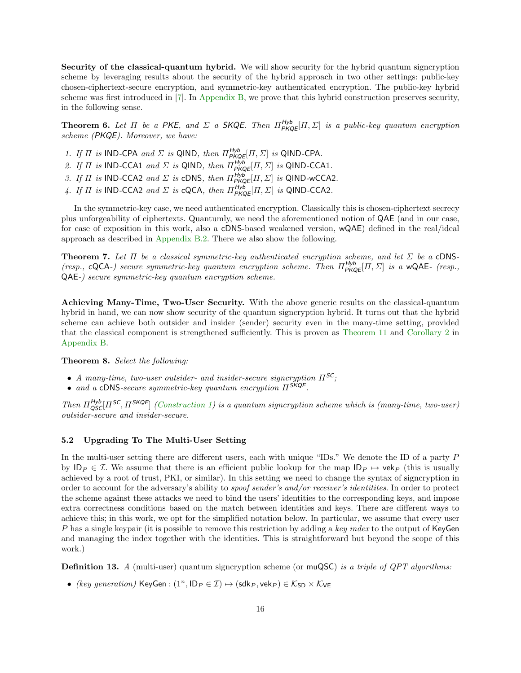<span id="page-15-3"></span>Security of the classical-quantum hybrid. We will show security for the hybrid quantum signcryption scheme by leveraging results about the security of the hybrid approach in two other settings: public-key chosen-ciphertext-secure encryption, and symmetric-key authenticated encryption. The public-key hybrid scheme was first introduced in [\[7\]](#page-18-8). In [Appendix](#page-21-1) [B,](#page-21-1) we prove that this hybrid construction preserves security, in the following sense.

<span id="page-15-0"></span>**Theorem 6.** Let  $\Pi$  be a PKE, and  $\Sigma$  a SKQE. Then  $\Pi_{\mathsf{PKQE}}^{\mathsf{Hyb}}[\Pi,\Sigma]$  is a public-key quantum encryption scheme (PKQE). Moreover, we have:

- 1. If  $\Pi$  is IND-CPA and  $\Sigma$  is QIND, then  $\Pi_{P K Q E}^{H y b} [II, \Sigma]$  is QIND-CPA.
- 2. If  $\Pi$  is IND-CCA1 and  $\Sigma$  is QIND, then  $\Pi_{\mathsf{PKQE}}^{\mathsf{Hyb}}[H,\Sigma]$  is QIND-CCA1.
- 3. If  $\Pi$  is IND-CCA2 and  $\Sigma$  is cDNS, then  $\Pi_{\mathsf{P K Q E}}^{\mathsf{H y b}}[H, \Sigma]$  is QIND-wCCA2.
- 4. If  $\Pi$  is IND-CCA2 and  $\Sigma$  is cQCA, then  $\Pi_{P K Q E}^{H y b} [II, \Sigma]$  is QIND-CCA2.

In the symmetric-key case, we need authenticated encryption. Classically this is chosen-ciphertext secrecy plus unforgeability of ciphertexts. Quantumly, we need the aforementioned notion of QAE (and in our case, for ease of exposition in this work, also a cDNS-based weakened version, wQAE) defined in the real/ideal approach as described in [Appendix](#page-23-0) [B.2.](#page-23-0) There we also show the following.

**Theorem 7.** Let  $\Pi$  be a classical symmetric-key authenticated encryption scheme, and let  $\Sigma$  be a cDNS-(resp., cQCA-) secure symmetric-key quantum encryption scheme. Then  $\Pi_{\mathsf{P KQE}}^{\mathsf{Hyb}}[H, \Sigma]$  is a wQAE- (resp., QAE-) secure symmetric-key quantum encryption scheme.

Achieving Many-Time, Two-User Security. With the above generic results on the classical-quantum hybrid in hand, we can now show security of the quantum signcryption hybrid. It turns out that the hybrid scheme can achieve both outsider and insider (sender) security even in the many-time setting, provided that the classical component is strengthened sufficiently. This is proven as [Theorem](#page-22-0) [11](#page-22-0) and [Corollary](#page-25-0) [2](#page-25-0) in [Appendix](#page-21-1) [B.](#page-21-1)

Theorem 8. Select the following:

- A many-time, two-user outsider- and insider-secure signcryption  $\Pi^{\mathsf{SC}}$ ;
- and a cDNS-secure symmetric-key quantum encryption  $\Pi^{\mathsf{SKQE}}$ .

Then  $\Pi_{QSC}^{Hyb}[H^{SC}, H^{SKQE}]$  [\(Construction](#page-11-2) [1\)](#page-11-2) is a quantum signcryption scheme which is (many-time, two-user) outsider-secure and insider-secure.

### <span id="page-15-1"></span>5.2 Upgrading To The Multi-User Setting

In the multi-user setting there are different users, each with unique "IDs." We denote the ID of a party P by  $ID_P \in \mathcal{I}$ . We assume that there is an efficient public lookup for the map  $ID_P \mapsto$  vek<sub>P</sub> (this is usually achieved by a root of trust, PKI, or similar). In this setting we need to change the syntax of signcryption in order to account for the adversary's ability to spoof sender's and/or receiver's identitites. In order to protect the scheme against these attacks we need to bind the users' identities to the corresponding keys, and impose extra correctness conditions based on the match between identities and keys. There are different ways to achieve this; in this work, we opt for the simplified notation below. In particular, we assume that every user P has a single keypair (it is possible to remove this restriction by adding a key index to the output of KeyGen and managing the index together with the identities. This is straightforward but beyond the scope of this work.)

<span id="page-15-2"></span>**Definition 13.** A (multi-user) quantum signcryption scheme (or muQSC) is a triple of QPT algorithms:

• (key generation) KeyGen :  $(1^n, \mathsf{ID}_P \in \mathcal{I}) \mapsto (\mathsf{sdk}_P, \mathsf{vek}_P) \in \mathcal{K}_{SD} \times \mathcal{K}_{VE}$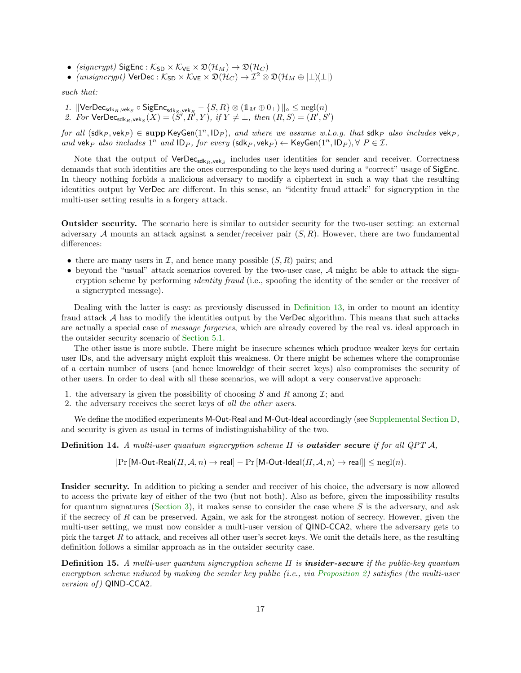- (signcrypt) SigEnc :  $K_{SD} \times K_{VE} \times \mathfrak{D}(\mathcal{H}_M) \to \mathfrak{D}(\mathcal{H}_C)$
- $(unsigncrypt)$  VerDec :  $K_{SD} \times K_{VE} \times \mathfrak{D}(\mathcal{H}_{C}) \to \mathcal{I}^2 \otimes \mathfrak{D}(\mathcal{H}_{M} \oplus |\perp \setminus \perp|)$

such that:

- 1.  $\|\mathsf{VerDec}_{\mathsf{sdk}_R,\mathsf{vek}_S} \circ \mathsf{SigEnc}_{\mathsf{sdk}_S,\mathsf{vek}_R} \{S,R\} \otimes (\mathbb{1}_M \oplus 0_\bot) \|_{\diamond} \le \mathsf{negl}(n)$
- 2. For  $\mathsf{VerDec}_{\mathsf{sdk}_R, \mathsf{vek}_S}(X) = (\check{S}', \check{R}', Y), \text{ if } Y \neq \bot, \text{ then } (R, S) = (R', S')$

for all  $(\text{sdk}_P, \text{vek}_P) \in \text{supp KeyGen}(1^n, \text{ID}_P)$ , and where we assume w.l.o.g. that  $\text{sdk}_P$  also includes  $\text{vek}_P$ , and vek<sub>P</sub> also includes  $1^n$  and  $ID_P$ , for every  $(\text{sdk}_P, \text{vek}_P) \leftarrow \text{KeyGen}(1^n, ID_P), \forall P \in \mathcal{I}$ .

Note that the output of  $VerDec_{sdkR,vekS}$  includes user identities for sender and receiver. Correctness demands that such identities are the ones corresponding to the keys used during a "correct" usage of SigEnc. In theory nothing forbids a malicious adversary to modify a ciphertext in such a way that the resulting identities output by VerDec are different. In this sense, an "identity fraud attack" for signcryption in the multi-user setting results in a forgery attack.

Outsider security. The scenario here is similar to outsider security for the two-user setting: an external adversary  $A$  mounts an attack against a sender/receiver pair  $(S, R)$ . However, there are two fundamental differences:

- there are many users in  $\mathcal I$ , and hence many possible  $(S, R)$  pairs; and
- beyond the "usual" attack scenarios covered by the two-user case,  $A$  might be able to attack the signcryption scheme by performing identity fraud (i.e., spoofing the identity of the sender or the receiver of a signcrypted message).

Dealing with the latter is easy: as previously discussed in [Definition](#page-15-2) [13,](#page-15-2) in order to mount an identity fraud attack A has to modify the identities output by the VerDec algorithm. This means that such attacks are actually a special case of message forgeries, which are already covered by the real vs. ideal approach in the outsider security scenario of [Section](#page-14-0) [5.1.](#page-14-0)

The other issue is more subtle. There might be insecure schemes which produce weaker keys for certain user IDs, and the adversary might exploit this weakness. Or there might be schemes where the compromise of a certain number of users (and hence knoweldge of their secret keys) also compromises the security of other users. In order to deal with all these scenarios, we will adopt a very conservative approach:

- 1. the adversary is given the possibility of choosing S and R among  $\mathcal{I}$ ; and
- 2. the adversary receives the secret keys of all the other users.

We define the modified experiments M-Out-Real and M-Out-Ideal accordingly (see [Supplemental Section](#page-34-0) [D,](#page-34-0) and security is given as usual in terms of indistinguishability of the two.

**Definition 14.** A multi-user quantum signcryption scheme  $\Pi$  is **outsider secure** if for all QPT A,

 $|\Pr[\text{M-Out-Real}(\Pi, \mathcal{A}, n) \to \text{real}] - \Pr[\text{M-Out-Ideal}(\Pi, \mathcal{A}, n) \to \text{real}]| \leq \text{negl}(n).$ 

Insider security. In addition to picking a sender and receiver of his choice, the adversary is now allowed to access the private key of either of the two (but not both). Also as before, given the impossibility results for quantum signatures [\(Section](#page-4-1) [3\)](#page-4-1), it makes sense to consider the case where S is the adversary, and ask if the secrecy of  $R$  can be preserved. Again, we ask for the strongest notion of secrecy. However, given the multi-user setting, we must now consider a multi-user version of QIND-CCA2, where the adversary gets to pick the target  $R$  to attack, and receives all other user's secret keys. We omit the details here, as the resulting definition follows a similar approach as in the outsider security case.

**Definition 15.** A multi-user quantum signcryption scheme  $\Pi$  is **insider-secure** if the public-key quantum encryption scheme induced by making the sender key public (i.e., via [Proposition](#page-11-1) [2\)](#page-11-1) satisfies (the multi-user version of) QIND-CCA2.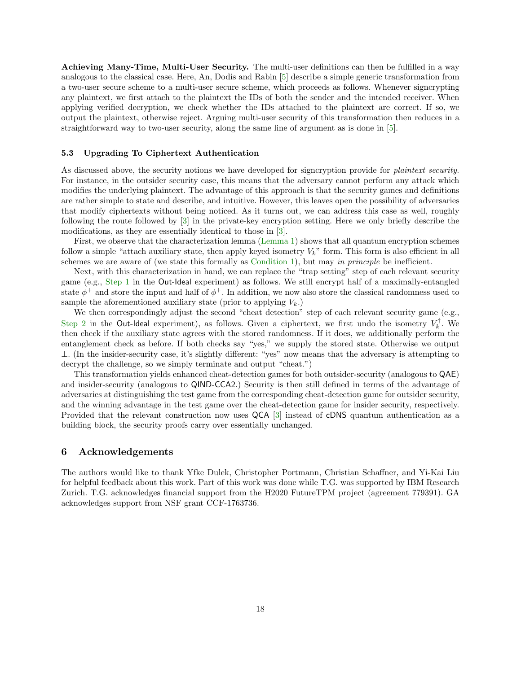Achieving Many-Time, Multi-User Security. The multi-user definitions can then be fulfilled in a way analogous to the classical case. Here, An, Dodis and Rabin [\[5\]](#page-18-4) describe a simple generic transformation from a two-user secure scheme to a multi-user secure scheme, which proceeds as follows. Whenever signcrypting any plaintext, we first attach to the plaintext the IDs of both the sender and the intended receiver. When applying verified decryption, we check whether the IDs attached to the plaintext are correct. If so, we output the plaintext, otherwise reject. Arguing multi-user security of this transformation then reduces in a straightforward way to two-user security, along the same line of argument as is done in [\[5\]](#page-18-4).

#### <span id="page-17-0"></span>5.3 Upgrading To Ciphertext Authentication

As discussed above, the security notions we have developed for signcryption provide for *plaintext security*. For instance, in the outsider security case, this means that the adversary cannot perform any attack which modifies the underlying plaintext. The advantage of this approach is that the security games and definitions are rather simple to state and describe, and intuitive. However, this leaves open the possibility of adversaries that modify ciphertexts without being noticed. As it turns out, we can address this case as well, roughly following the route followed by [\[3\]](#page-18-2) in the private-key encryption setting. Here we only briefly describe the modifications, as they are essentially identical to those in [\[3\]](#page-18-2).

First, we observe that the characterization lemma [\(Lemma](#page-5-2) [1\)](#page-5-2) shows that all quantum encryption schemes follow a simple "attach auxiliary state, then apply keyed isometry  $V_k$ " form. This form is also efficient in all schemes we are aware of (we state this formally as [Condition](#page-20-0) [1\)](#page-20-0), but may in principle be inefficient.

Next, with this characterization in hand, we can replace the "trap setting" step of each relevant security game (e.g., [Step](#page-14-1) [1](#page-14-1) in the Out-Ideal experiment) as follows. We still encrypt half of a maximally-entangled state  $\phi^+$  and store the input and half of  $\phi^+$ . In addition, we now also store the classical randomness used to sample the aforementioned auxiliary state (prior to applying  $V_k$ .)

We then correspondingly adjust the second "cheat detection" step of each relevant security game (e.g., [Step](#page-14-2) [2](#page-14-2) in the Out-Ideal experiment), as follows. Given a ciphertext, we first undo the isometry  $V_k^{\dagger}$ . We then check if the auxiliary state agrees with the stored randomness. If it does, we additionally perform the entanglement check as before. If both checks say "yes," we supply the stored state. Otherwise we output ⊥. (In the insider-security case, it's slightly different: "yes" now means that the adversary is attempting to decrypt the challenge, so we simply terminate and output "cheat.")

This transformation yields enhanced cheat-detection games for both outsider-security (analogous to QAE) and insider-security (analogous to QIND-CCA2.) Security is then still defined in terms of the advantage of adversaries at distinguishing the test game from the corresponding cheat-detection game for outsider security, and the winning advantage in the test game over the cheat-detection game for insider security, respectively. Provided that the relevant construction now uses QCA [\[3\]](#page-18-2) instead of cDNS quantum authentication as a building block, the security proofs carry over essentially unchanged.

### 6 Acknowledgements

The authors would like to thank Yfke Dulek, Christopher Portmann, Christian Schaffner, and Yi-Kai Liu for helpful feedback about this work. Part of this work was done while T.G. was supported by IBM Research Zurich. T.G. acknowledges financial support from the H2020 FutureTPM project (agreement 779391). GA acknowledges support from NSF grant CCF-1763736.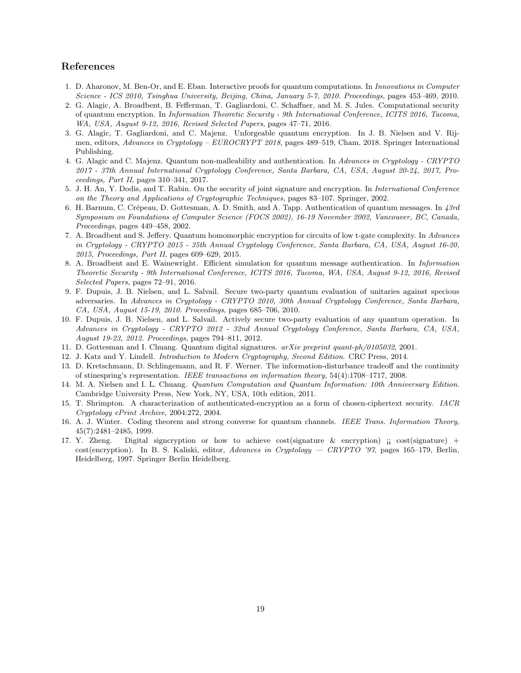### References

- <span id="page-18-7"></span>1. D. Aharonov, M. Ben-Or, and E. Eban. Interactive proofs for quantum computations. In Innovations in Computer Science - ICS 2010, Tsinghua University, Beijing, China, January 5-7, 2010. Proceedings, pages 453–469, 2010.
- <span id="page-18-5"></span>2. G. Alagic, A. Broadbent, B. Fefferman, T. Gagliardoni, C. Schaffner, and M. S. Jules. Computational security of quantum encryption. In Information Theoretic Security - 9th International Conference, ICITS 2016, Tacoma, WA, USA, August 9-12, 2016, Revised Selected Papers, pages 47–71, 2016.
- <span id="page-18-2"></span>3. G. Alagic, T. Gagliardoni, and C. Majenz. Unforgeable quantum encryption. In J. B. Nielsen and V. Rijmen, editors, Advances in Cryptology – EUROCRYPT 2018, pages 489–519, Cham, 2018. Springer International Publishing.
- <span id="page-18-10"></span>4. G. Alagic and C. Majenz. Quantum non-malleability and authentication. In Advances in Cryptology - CRYPTO 2017 - 37th Annual International Cryptology Conference, Santa Barbara, CA, USA, August 20-24, 2017, Proceedings, Part II, pages 310–341, 2017.
- <span id="page-18-4"></span>5. J. H. An, Y. Dodis, and T. Rabin. On the security of joint signature and encryption. In International Conference on the Theory and Applications of Cryptographic Techniques, pages 83–107. Springer, 2002.
- <span id="page-18-0"></span>6. H. Barnum, C. Crépeau, D. Gottesman, A. D. Smith, and A. Tapp. Authentication of quantum messages. In  $\lambda 3rd$ Symposium on Foundations of Computer Science (FOCS 2002), 16-19 November 2002, Vancouver, BC, Canada, Proceedings, pages 449–458, 2002.
- <span id="page-18-8"></span>7. A. Broadbent and S. Jeffery. Quantum homomorphic encryption for circuits of low t-gate complexity. In Advances in Cryptology - CRYPTO 2015 - 35th Annual Cryptology Conference, Santa Barbara, CA, USA, August 16-20, 2015, Proceedings, Part II, pages 609–629, 2015.
- <span id="page-18-12"></span>8. A. Broadbent and E. Wainewright. Efficient simulation for quantum message authentication. In Information Theoretic Security - 9th International Conference, ICITS 2016, Tacoma, WA, USA, August 9-12, 2016, Revised Selected Papers, pages 72–91, 2016.
- <span id="page-18-9"></span>9. F. Dupuis, J. B. Nielsen, and L. Salvail. Secure two-party quantum evaluation of unitaries against specious adversaries. In Advances in Cryptology - CRYPTO 2010, 30th Annual Cryptology Conference, Santa Barbara, CA, USA, August 15-19, 2010. Proceedings, pages 685–706, 2010.
- <span id="page-18-6"></span>10. F. Dupuis, J. B. Nielsen, and L. Salvail. Actively secure two-party evaluation of any quantum operation. In Advances in Cryptology - CRYPTO 2012 - 32nd Annual Cryptology Conference, Santa Barbara, CA, USA, August 19-23, 2012. Proceedings, pages 794–811, 2012.
- <span id="page-18-11"></span>11. D. Gottesman and I. Chuang. Quantum digital signatures. arXiv preprint quant-ph/0105032, 2001.
- <span id="page-18-13"></span>12. J. Katz and Y. Lindell. Introduction to Modern Cryptography, Second Edition. CRC Press, 2014.
- <span id="page-18-14"></span>13. D. Kretschmann, D. Schlingemann, and R. F. Werner. The information-disturbance tradeoff and the continuity of stinespring's representation. IEEE transactions on information theory, 54(4):1708–1717, 2008.
- <span id="page-18-3"></span>14. M. A. Nielsen and I. L. Chuang. Quantum Computation and Quantum Information: 10th Anniversary Edition. Cambridge University Press, New York, NY, USA, 10th edition, 2011.
- <span id="page-18-16"></span>15. T. Shrimpton. A characterization of authenticated-encryption as a form of chosen-ciphertext security. IACR Cryptology ePrint Archive, 2004:272, 2004.
- <span id="page-18-15"></span>16. A. J. Winter. Coding theorem and strong converse for quantum channels. IEEE Trans. Information Theory, 45(7):2481–2485, 1999.
- <span id="page-18-1"></span>17. Y. Zheng. Digital signcryption or how to achieve cost(signature & encryption)  $\mu$  cost(signature) + cost(encryption). In B. S. Kaliski, editor, Advances in Cryptology — CRYPTO '97, pages 165–179, Berlin, Heidelberg, 1997. Springer Berlin Heidelberg.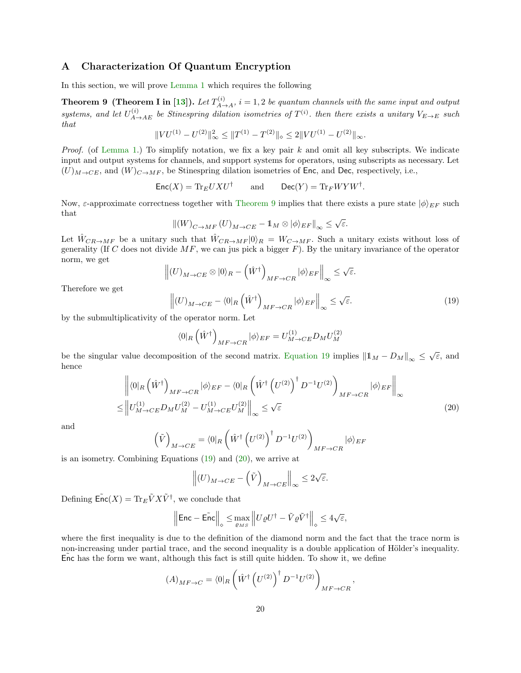### <span id="page-19-0"></span>A Characterization Of Quantum Encryption

In this section, we will prove [Lemma](#page-5-2) [1](#page-5-2) which requires the following

<span id="page-19-1"></span>**Theorem 9 (Theorem I in [\[13\]](#page-18-14)).** Let  $T_{A\rightarrow A}^{(i)}$ ,  $i = 1, 2$  be quantum channels with the same input and output systems, and let  $U_{A\to AE}^{(i)}$  be Stinespring dilation isometries of  $T^{(i)}$ . then there exists a unitary  $V_{E\to E}$  such that

$$
||VU^{(1)} - U^{(2)}||_{\infty}^2 \le ||T^{(1)} - T^{(2)}||_{\infty} \le 2||VU^{(1)} - U^{(2)}||_{\infty}.
$$

*Proof.* (of [Lemma](#page-5-2) [1.](#page-5-2)) To simplify notation, we fix a key pair  $k$  and omit all key subscripts. We indicate input and output systems for channels, and support systems for operators, using subscripts as necessary. Let  $(U)_{M\to CE}$ , and  $(W)_{C\to MF}$ , be Stinespring dilation isometries of Enc, and Dec, respectively, i.e.,

$$
Enc(X) = Tr_E U X U^{\dagger} \quad \text{and} \quad Dec(Y) = Tr_F W Y W^{\dagger}.
$$

Now,  $\varepsilon$ -approximate correctness together with [Theorem](#page-19-1) [9](#page-19-1) implies that there exists a pure state  $|\phi\rangle_{EF}$  such that √

$$
\left\|(W)_{C\to MF}(U)_{M\to CE}-1\!\!1_M\otimes|\phi\rangle_{EF}\right\|_{\infty}\leq\sqrt{\varepsilon}.
$$

Let  $\hat{W}_{CR\to MF}$  be a unitary such that  $\hat{W}_{CR\to MF}|0\rangle_R = W_{C\to MF}$ . Such a unitary exists without loss of generality (If C does not divide  $MF$ , we can jus pick a bigger F). By the unitary invariance of the operator norm, we get

$$
\Big\|(U)_{M\to CE}\otimes|0\rangle_R-\Big(\hat{W}^\dagger\Big)_{MF\to CR}|\phi\rangle_{EF}\Big\|_\infty\leq \sqrt{\varepsilon}.
$$

Therefore we get

<span id="page-19-2"></span>
$$
\left\| (U)_{M \to CE} - \langle 0 |_{R} \left( \hat{W}^{\dagger} \right)_{MF \to CR} | \phi \rangle_{EF} \right\|_{\infty} \leq \sqrt{\varepsilon}.
$$
\n(19)

by the submultiplicativity of the operator norm. Let

$$
\langle 0|_{R}\left(\hat{W}^{\dagger}\right)_{MF\rightarrow CR}|\phi\rangle_{EF}=U_{M\rightarrow CE}^{(1)}D_{M}U_{M}^{(2)}
$$

be the singular value decomposition of the second matrix. [Equation](#page-19-2) [19](#page-19-2) implies  $||1_M - D_M||_{\infty} \leq \sqrt{\varepsilon}$ , and hence

$$
\left\| \langle 0|_{R} \left( \hat{W}^{\dagger} \right)_{MF \to CR} | \phi \rangle_{EF} - \langle 0|_{R} \left( \hat{W}^{\dagger} \left( U^{(2)} \right)^{\dagger} D^{-1} U^{(2)} \right)_{MF \to CR} | \phi \rangle_{EF} \right\|_{\infty} \leq \left\| U_{M \to CE}^{(1)} D_M U_M^{(2)} - U_{M \to CE}^{(1)} U_M^{(2)} \right\|_{\infty} \leq \sqrt{\varepsilon}
$$
\n(20)

and

$$
\left(\tilde{V}\right)_{M \to CE} = \left\langle 0 \right|_R \left(\hat{W}^\dagger \left(U^{(2)}\right)^\dagger D^{-1} U^{(2)}\right)_{MF \to CR} \left|\phi\right\rangle_{EF}
$$

is an isometry. Combining Equations [\(19\)](#page-19-2) and [\(20\)](#page-19-3), we arrive at

<span id="page-19-3"></span>
$$
\left\| (U)_{M \to CE} - \left( \tilde{V} \right)_{M \to CE} \right\|_\infty \leq 2 \sqrt{\varepsilon}.
$$

Defining  $\tilde{\mathsf{Enc}}(X) = \text{Tr}_E \tilde{V} X \tilde{V}^{\dagger}$ , we conclude that

$$
\Big\|\text{Enc}-\tilde{\text{Enc}}\Big\|_{\diamond}\leq \max_{\varrho_{MS}}\Big\|U\varrho U^\dagger-\tilde{V}\varrho \tilde{V}^\dagger\Big\|_{\diamond}\leq 4\sqrt{\varepsilon},
$$

where the first inequality is due to the definition of the diamond norm and the fact that the trace norm is non-increasing under partial trace, and the second inequality is a double application of Hölder's inequality. Enc has the form we want, although this fact is still quite hidden. To show it, we define

$$
(A)_{MF \to C} = \langle 0 | R \left( \hat{W}^{\dagger} \left( U^{(2)} \right)^{\dagger} D^{-1} U^{(2)} \right)_{MF \to CR},
$$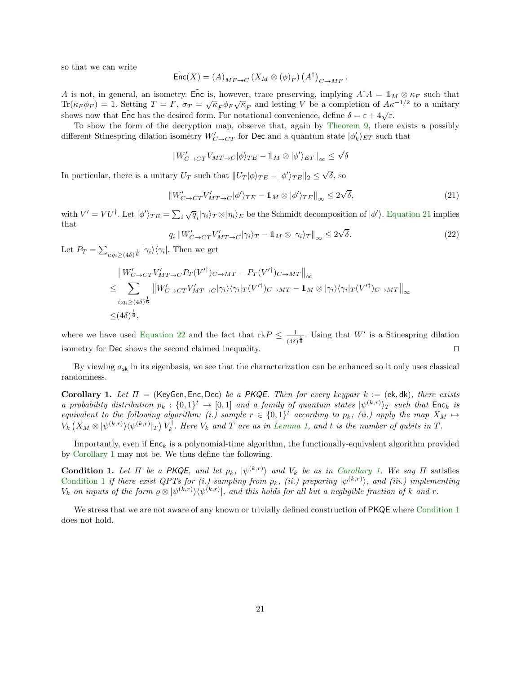so that we can write

$$
\widetilde{\mathsf{Enc}}(X) = (A)_{MF \to C} (X_M \otimes (\phi)_F) (A^{\dagger})_{C \to MF}.
$$

A is not, in general, an isometry. Enc is, however, trace preserving, implying  $A^{\dagger}A = \mathbb{1}_M \otimes \kappa_F$  such that  $\text{Tr}(\kappa_F \phi_F) = 1.$  Setting  $T = F$ ,  $\sigma_T = \sqrt{\kappa_F} \phi_F \sqrt{\kappa_F}$  and letting V be a completion of  $A \kappa^{-1/2}$  to a unitary shows now that  $\overline{\text{Enc}}$  has the desired form. For notational convenience, define  $\delta = \varepsilon + 4\sqrt{\varepsilon}$ .

To show the form of the decryption map, observe that, again by [Theorem](#page-19-1) [9,](#page-19-1) there exists a possibly different Stinespring dilation isometry  $W'_{C \to C T}$  for Dec and a quantum state  $|\phi'_k\rangle_{ET}$  such that

$$
\|W'_{C \to CT} V_{MT \to C} |\phi\rangle_{TE} - \mathbb{1}_M \otimes |\phi'\rangle_{ET}\|_\infty \leq \sqrt{\delta}
$$

In particular, there is a unitary  $U_T$  such that  $||U_T|\phi\rangle_{TE} - |\phi'\rangle_{TE}||_2 \le$ √  $\delta$ , so

<span id="page-20-1"></span>
$$
||W'_{C \to C T} V'_{MT \to C} |\phi'\rangle_{TE} - \mathbb{1}_M \otimes |\phi'\rangle_{TE}||_{\infty} \le 2\sqrt{\delta},\tag{21}
$$

with  $V' = V U^{\dagger}$ . Let  $|\phi'\rangle_{TE} = \sum_{i} \sqrt{q}_{i} |\gamma_{i}\rangle_{T} \otimes |\eta_{i}\rangle_{E}$  be the Schmidt decomposition of  $|\phi'\rangle$ . [Equation](#page-20-1) [21](#page-20-1) implies that √

<span id="page-20-2"></span>
$$
q_i \| W'_{C \to C T} V'_{MT \to C} | \gamma_i \rangle_T - \mathbb{1}_M \otimes |\gamma_i \rangle_T \|_{\infty} \leq 2\sqrt{\delta}.
$$
 (22)

Let  $P_T = \sum_{i: q_i \geq (4\delta)^{\frac{1}{6}}} |\gamma_i\rangle\langle\gamma_i|$ . Then we get

$$
\|W'_{C\to CT}V'_{MT\to C}P_T(V'^\dagger)_{C\to MT} - P_T(V'^\dagger)_{C\to MT}\|_{\infty}
$$
  
\n
$$
\leq \sum_{i:q_i\geq (4\delta)^{\frac{1}{6}}} \|W'_{C\to CT}V'_{MT\to C}|\gamma_i\rangle\langle\gamma_i|_T(V'^\dagger)_{C\to MT} - \mathbb{1}_M \otimes |\gamma_i\rangle\langle\gamma_i|_T(V'^\dagger)_{C\to MT}\|_{\infty}
$$
  
\n
$$
\leq (4\delta)^{\frac{1}{6}},
$$

where we have used [Equation](#page-20-2) [22](#page-20-2) and the fact that rk $P \leq \frac{1}{2}$  $\frac{1}{(4\delta)^{\frac{1}{6}}}$ . Using that W' is a Stinespring dilation isometry for Dec shows the second claimed inequality.  $\Box$ 

By viewing  $\sigma_{sk}$  in its eigenbasis, we see that the characterization can be enhanced so it only uses classical randomness.

<span id="page-20-3"></span>Corollary 1. Let  $\Pi =$  (KeyGen, Enc, Dec) be a PKQE. Then for every keypair  $k :=$  (ek, dk), there exists a probability distribution  $p_k: \{0,1\}^t \to [0,1]$  and a family of quantum states  $|\psi^{(k,r)}\rangle_T$  such that  $\mathsf{Enc}_k$  is equivalent to the following algorithm: (i.) sample  $r \in \{0,1\}^t$  according to  $p_k$ ; (ii.) apply the map  $X_M \mapsto$  $V_k(X_M \otimes |\psi^{(k,r)}\rangle\langle\psi^{(k,r)}|_T) V_k^{\dagger}$ . Here  $V_k$  and T are as in [Lemma](#page-5-2) [1,](#page-5-2) and t is the number of qubits in T.

Importantly, even if  $Enc_k$  is a polynomial-time algorithm, the functionally-equivalent algorithm provided by [Corollary](#page-20-3) [1](#page-20-3) may not be. We thus define the following.

<span id="page-20-0"></span>**Condition [1.](#page-20-3)** Let  $\Pi$  be a PKQE, and let  $p_k$ ,  $|\psi^{(k,r)}\rangle$  and  $V_k$  be as in [Corollary](#page-20-3) 1. We say  $\Pi$  satisfies [Condition](#page-20-0) [1](#page-20-0) if there exist QPTs for (i.) sampling from  $p_k$ , (ii.) preparing  $|\psi^{(k,r)}\rangle$ , and (iii.) implementing  $V_k$  on inputs of the form  $\varrho \otimes |\psi^{(k,r)}\rangle\langle\psi^{(k,r)}|$ , and this holds for all but a negligible fraction of k and r.

We stress that we are not aware of any known or trivially defined construction of PKQE where [Condition](#page-20-0) [1](#page-20-0) does not hold.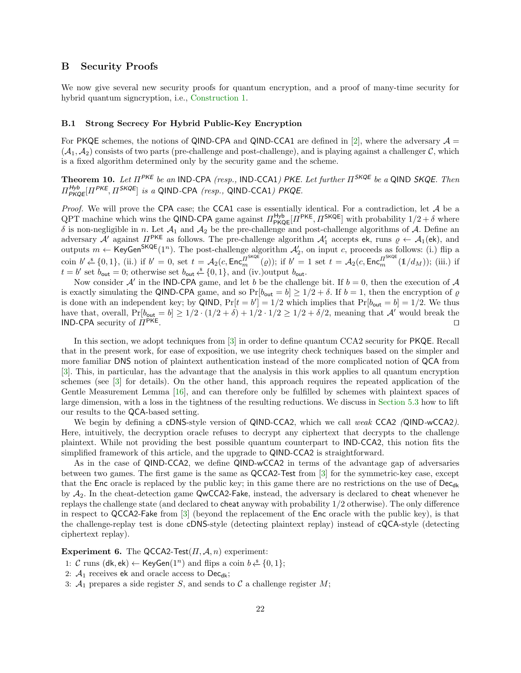### <span id="page-21-1"></span>B Security Proofs

We now give several new security proofs for quantum encryption, and a proof of many-time security for hybrid quantum signcryption, i.e., [Construction](#page-11-2) [1.](#page-11-2)

### <span id="page-21-0"></span>B.1 Strong Secrecy For Hybrid Public-Key Encryption

For PKQE schemes, the notions of QIND-CPA and QIND-CCA1 are defined in [\[2\]](#page-18-5), where the adversary  $\mathcal{A} =$  $(\mathcal{A}_1, \mathcal{A}_2)$  consists of two parts (pre-challenge and post-challenge), and is playing against a challenger C, which is a fixed algorithm determined only by the security game and the scheme.

<span id="page-21-2"></span>Theorem 10. Let  $\Pi^{\mathsf{PKE}}$  be an IND-CPA (resp., IND-CCA1) PKE. Let further  $\Pi^{\mathsf{SKQE}}$  be a QIND SKQE. Then  $\Pi_{\mathsf{PKQE}}^{\mathsf{Hyb}}[\Pi^{\mathsf{PKE}},\Pi^{\mathsf{SKQE}}]$  is a QIND-CPA (resp., QIND-CCA1) PKQE.

*Proof.* We will prove the CPA case; the CCA1 case is essentially identical. For a contradiction, let  $A$  be a QPT machine which wins the QIND-CPA game against  $\Pi_{\text{PKQE}}^{\text{Hyb}}[\Pi^{\text{PKE}}, \Pi^{\text{SKQE}}]$  with probability  $1/2 + \delta$  where  $\delta$  is non-negligible in n. Let  $\mathcal{A}_1$  and  $\mathcal{A}_2$  be the pre-challenge and post-challenge algorithms of  $\mathcal{A}$ . Define an adversary A' against  $\Pi^{\text{PKE}}$  as follows. The pre-challenge algorithm  $\mathcal{A}'_1$  accepts ek, runs  $\varrho \leftarrow \mathcal{A}_1(\text{ek})$ , and outputs  $m \leftarrow \text{KeyGen}^{\text{SKQE}}(1^n)$ . The post-challenge algorithm  $\mathcal{A}'_2$ , on input c, proceeds as follows: (i.) flip a coin  $b' \xleftarrow{\$} \{0,1\}$ , (ii.) if  $b' = 0$ , set  $t = \mathcal{A}_2(c, \text{Enc}_{m}^{\Pi^{\text{SKQE}}}(\varrho))$ ; if  $b' = 1$  set  $t = \mathcal{A}_2(c, \text{Enc}_{m}^{\Pi^{\text{SKQE}}}(\mathbb{1}/d_M))$ ; (iii.) if  $t = b'$  set  $b_{\text{out}} = 0$ ; otherwise set  $b_{\text{out}} \stackrel{\$}{\leftarrow} \{0, 1\}$ , and (iv.)output  $b_{\text{out}}$ .

Now consider  $A'$  in the IND-CPA game, and let b be the challenge bit. If  $b = 0$ , then the execution of A is exactly simulating the QIND-CPA game, and so  $Pr[b_{\text{out}} = b] \ge 1/2 + \delta$ . If  $b = 1$ , then the encryption of  $\varrho$ is done with an independent key; by QIND,  $Pr[t = b'] = 1/2$  which implies that  $Pr[b_{\text{out}} = b] = 1/2$ . We thus have that, overall,  $Pr[b_{\text{out}} = b] \ge 1/2 \cdot (1/2 + \delta) + 1/2 \cdot 1/2 \ge 1/2 + \delta/2$ , meaning that A' would break the IND-CPA security of  $\pi$ <sup>PKE</sup>.

In this section, we adopt techniques from [\[3\]](#page-18-2) in order to define quantum CCA2 security for PKQE. Recall that in the present work, for ease of exposition, we use integrity check techniques based on the simpler and more familiar DNS notion of plaintext authentication instead of the more complicated notion of QCA from [\[3\]](#page-18-2). This, in particular, has the advantage that the analysis in this work applies to all quantum encryption schemes (see [\[3\]](#page-18-2) for details). On the other hand, this approach requires the repeated application of the Gentle Measurement Lemma [\[16\]](#page-18-15), and can therefore only be fulfilled by schemes with plaintext spaces of large dimension, with a loss in the tightness of the resulting reductions. We discuss in [Section](#page-17-0) [5.3](#page-17-0) how to lift our results to the QCA-based setting.

We begin by defining a cDNS-style version of QIND-CCA2, which we call weak CCA2 (QIND-wCCA2). Here, intuitively, the decryption oracle refuses to decrypt any ciphertext that decrypts to the challenge plaintext. While not providing the best possible quantum counterpart to IND-CCA2, this notion fits the simplified framework of this article, and the upgrade to QIND-CCA2 is straightforward.

As in the case of QIND-CCA2, we define QIND-wCCA2 in terms of the advantage gap of adversaries between two games. The first game is the same as QCCA2-Test from [\[3\]](#page-18-2) for the symmetric-key case, except that the Enc oracle is replaced by the public key; in this game there are no restrictions on the use of  $\text{Dec}_{dk}$ by  $A_2$ . In the cheat-detection game QwCCA2-Fake, instead, the adversary is declared to cheat whenever he replays the challenge state (and declared to cheat anyway with probability 1/2 otherwise). The only difference in respect to QCCA2-Fake from [\[3\]](#page-18-2) (beyond the replacement of the Enc oracle with the public key), is that the challenge-replay test is done cDNS-style (detecting plaintext replay) instead of cQCA-style (detecting ciphertext replay).

Experiment 6. The QCCA2-Test $(\Pi, \mathcal{A}, n)$  experiment:

- 1: *C* runs (dk, ek) ← KeyGen(1<sup>n</sup>) and flips a coin  $b \stackrel{\$}{\leftarrow} \{0, 1\};$
- 2:  $A_1$  receives ek and oracle access to Dec<sub>dk</sub>;
- 3:  $A_1$  prepares a side register S, and sends to C a challenge register M;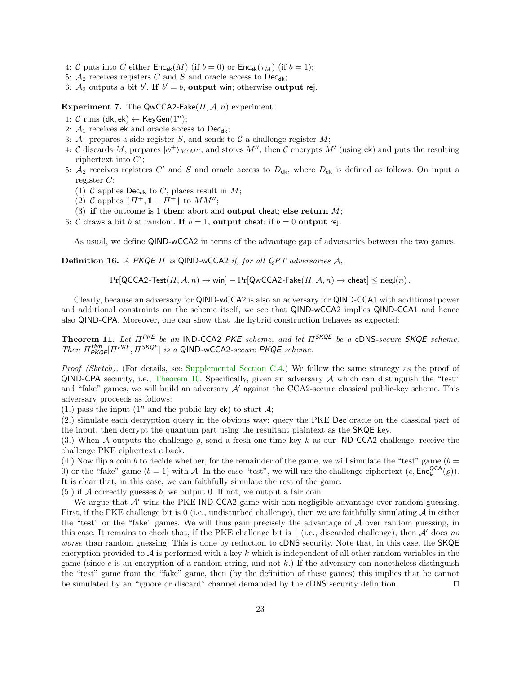- 4: C puts into C either  $\mathsf{Enc}_{ek}(M)$  (if  $b = 0$ ) or  $\mathsf{Enc}_{ek}(\tau_M)$  (if  $b = 1$ );
- 5:  $A_2$  receives registers C and S and oracle access to Dec<sub>dk</sub>;
- 6:  $A_2$  outputs a bit b'. If  $b' = b$ , output win; otherwise output rej.

Experiment 7. The QwCCA2-Fake $(\Pi, \mathcal{A}, n)$  experiment:

- 1: C runs (dk, ek)  $\leftarrow$  KeyGen(1<sup>n</sup>);
- 2:  $A_1$  receives ek and oracle access to Dec<sub>dk</sub>;
- 3:  $A_1$  prepares a side register S, and sends to C a challenge register M;
- 4: C discards M, prepares  $|\phi^+\rangle_{M'M''}$ , and stores M''; then C encrypts M' (using ek) and puts the resulting ciphertext into  $C'$ ;
- 5:  $A_2$  receives registers C' and S and oracle access to  $D_{dk}$ , where  $D_{dk}$  is defined as follows. On input a register C:
	- (1) C applies Dec<sub>dk</sub> to C, places result in M;
	- (2) C applies  $\{ \Pi^+, \mathbb{1} \Pi^+ \}$  to  $MM''$ ;
- (3) if the outcome is 1 then: abort and output cheat; else return  $M$ ;
- 6: C draws a bit b at random. If  $b = 1$ , output cheat; if  $b = 0$  output rej.

As usual, we define QIND-wCCA2 in terms of the advantage gap of adversaries between the two games.

**Definition 16.** A PKQE  $\Pi$  is QIND-wCCA2 if, for all QPT adversaries  $A$ ,

$$
\Pr[\mathsf{QCCA2-Test}(\Pi,\mathcal{A},n) \to \mathsf{win}] - \Pr[\mathsf{QwCCA2-Fake}(\Pi,\mathcal{A},n) \to \mathsf{cheat}] \le \text{negl}(n).
$$

Clearly, because an adversary for QIND-wCCA2 is also an adversary for QIND-CCA1 with additional power and additional constraints on the scheme itself, we see that QIND-wCCA2 implies QIND-CCA1 and hence also QIND-CPA. Moreover, one can show that the hybrid construction behaves as expected:

<span id="page-22-0"></span>**Theorem 11.** Let  $\Pi^{PKE}$  be an IND-CCA2 PKE scheme, and let  $\Pi^{SKQE}$  be a cDNS-secure SKQE scheme. Then  $\Pi_{PKQE}^{Hyb}[Pi^{PKE}, H^{SKQE}]$  is a QIND-wCCA2-secure PKQE scheme.

Proof (Sketch). (For details, see [Supplemental Section](#page-28-0) [C.4.](#page-28-0)) We follow the same strategy as the proof of QIND-CPA security, i.e., [Theorem](#page-21-2) [10.](#page-21-2) Specifically, given an adversary  $A$  which can distinguish the "test" and "fake" games, we will build an adversary  $A'$  against the CCA2-secure classical public-key scheme. This adversary proceeds as follows:

(1.) pass the input  $(1^n$  and the public key ek) to start  $\mathcal{A}$ ;

(2.) simulate each decryption query in the obvious way: query the PKE Dec oracle on the classical part of the input, then decrypt the quantum part using the resultant plaintext as the SKQE key.

(3.) When A outputs the challenge  $\rho$ , send a fresh one-time key k as our IND-CCA2 challenge, receive the challenge PKE ciphertext c back.

(4.) Now flip a coin b to decide whether, for the remainder of the game, we will simulate the "test" game ( $b =$ 0) or the "fake" game  $(b = 1)$  with A. In the case "test", we will use the challenge ciphertext  $(c, Enc_k^{QCA}(\varrho))$ . It is clear that, in this case, we can faithfully simulate the rest of the game.

 $(5.)$  if A correctly guesses b, we output 0. If not, we output a fair coin.

We argue that  $A'$  wins the PKE IND-CCA2 game with non-negligible advantage over random guessing. First, if the PKE challenge bit is 0 (i.e., undisturbed challenge), then we are faithfully simulating  $\mathcal A$  in either the "test" or the "fake" games. We will thus gain precisely the advantage of  $A$  over random guessing, in this case. It remains to check that, if the PKE challenge bit is 1 (i.e., discarded challenge), then  $A'$  does no worse than random guessing. This is done by reduction to cDNS security. Note that, in this case, the SKQE encryption provided to  $A$  is performed with a key k which is independent of all other random variables in the game (since c is an encryption of a random string, and not k.) If the adversary can nonetheless distinguish the "test" game from the "fake" game, then (by the definition of these games) this implies that he cannot be simulated by an "ignore or discard" channel demanded by the cDNS security definition.  $\square$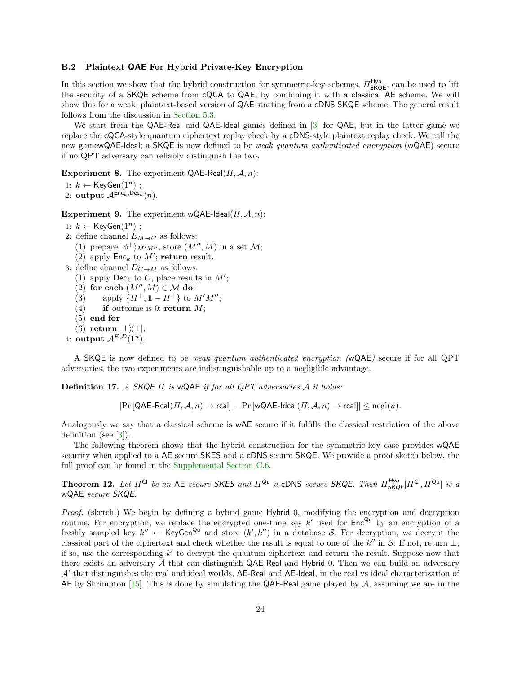#### <span id="page-23-0"></span>B.2 Plaintext QAE For Hybrid Private-Key Encryption

In this section we show that the hybrid construction for symmetric-key schemes,  $\Pi_{SKQE}^{\text{Hyb}}$ , can be used to lift the security of a SKQE scheme from cQCA to QAE, by combining it with a classical AE scheme. We will show this for a weak, plaintext-based version of QAE starting from a cDNS SKQE scheme. The general result follows from the discussion in [Section](#page-17-0) [5.3.](#page-17-0)

We start from the QAE-Real and QAE-Ideal games defined in [\[3\]](#page-18-2) for QAE, but in the latter game we replace the cQCA-style quantum ciphertext replay check by a cDNS-style plaintext replay check. We call the new gamewQAE-Ideal; a SKQE is now defined to be *weak quantum authenticated encryption* (wQAE) secure if no QPT adversary can reliably distinguish the two.

**Experiment 8.** The experiment QAE-Real $(\Pi, \mathcal{A}, n)$ :

1:  $k$  ← KeyGen $(1^n)$ ;

2: output  $A^{\text{Enc}_k, \text{Dec}_k}(n)$ .

**Experiment 9.** The experiment wQAE-Ideal( $\Pi$ ,  $\mathcal{A}$ , n):

- 1:  $k$  ← KeyGen $(1^n)$ ;
- 2: define channel  $E_{M\to C}$  as follows:

(1) prepare  $|\phi^+\rangle_{M'M''}$ , store  $(M'', M)$  in a set  $\mathcal{M}$ ;

- (2) apply  $\mathsf{Enc}_k$  to  $M'$ ; return result.
- 3: define channel  $D_{C\to M}$  as follows:
	- (1) apply  $\textsf{Dec}_k$  to C, place results in  $M'$ ;
	- (2) for each  $(M'', M) \in \mathcal{M}$  do:
	- (3) apply  $\{ \Pi^+, 1 \Pi^+ \}$  to  $M'M''$ ;
	- (4) if outcome is 0: return  $M$ ;
	- (5) end for
	- (6) return  $|\bot\rangle\langle\bot|;$
- 4: output  $A^{E,D}(1^n)$ .

A SKQE is now defined to be weak quantum authenticated encryption (wQAE) secure if for all QPT adversaries, the two experiments are indistinguishable up to a negligible advantage.

Definition 17. A SKQE  $\Pi$  is wQAE if for all QPT adversaries  $A$  it holds:

 $|\Pr[\mathsf{QAE}\text{-}\mathsf{Real}(H,\mathcal{A},n) \to \mathsf{real}] - \Pr[\mathsf{wQAE}\text{-}\mathsf{Ideal}(H,\mathcal{A},n) \to \mathsf{real}]| \leq \mathrm{negl}(n).$ 

Analogously we say that a classical scheme is wAE secure if it fulfills the classical restriction of the above definition (see [\[3\]](#page-18-2)).

The following theorem shows that the hybrid construction for the symmetric-key case provides wQAE security when applied to a AE secure SKES and a cDNS secure SKQE. We provide a proof sketch below, the full proof can be found in the [Supplemental Section](#page-32-0) [C.6.](#page-32-0)

<span id="page-23-1"></span>**Theorem 12.** Let  $\Pi^{Cl}$  be an AE secure SKES and  $\Pi^{Qu}$  a cDNS secure SKQE. Then  $\Pi^{Hyb}_{SKQE}[\Pi^{Cl},\Pi^{Qu}]$  is a wQAE secure SKQE.

Proof. (sketch.) We begin by defining a hybrid game Hybrid 0, modifying the encryption and decryption routine. For encryption, we replace the encrypted one-time key  $k'$  used for  $Enc^{Qu}$  by an encryption of a freshly sampled key  $k'' \leftarrow \text{KeyGen}^{\text{Qu}}$  and store  $(k', k'')$  in a database S. For decryption, we decrypt the classical part of the ciphertext and check whether the result is equal to one of the  $k''$  in S. If not, return  $\perp$ , if so, use the corresponding  $k'$  to decrypt the quantum ciphertext and return the result. Suppose now that there exists an adversary  $A$  that can distinguish QAE-Real and Hybrid 0. Then we can build an adversary A' that distinguishes the real and ideal worlds, AE-Real and AE-Ideal, in the real vs ideal characterization of AE by Shrimpton [\[15\]](#page-18-16). This is done by simulating the QAE-Real game played by  $A$ , assuming we are in the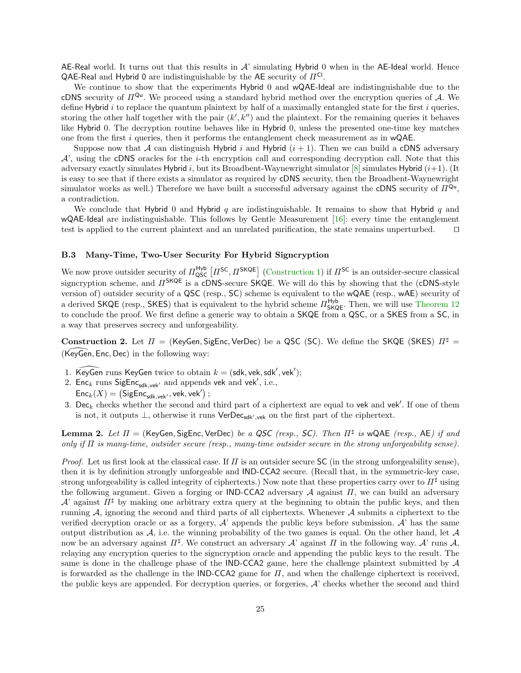AE-Real world. It turns out that this results in  $A'$  simulating Hybrid 0 when in the AE-Ideal world. Hence QAE-Real and Hybrid 0 are indistinguishable by the AE security of  $\Pi^{\mathsf{CI}}$ .

We continue to show that the experiments Hybrid 0 and wQAE-Ideal are indistinguishable due to the cDNS security of  $\Pi^{Qu}$ . We proceed using a standard hybrid method over the encryption queries of A. We define Hybrid  $i$  to replace the quantum plaintext by half of a maximally entangled state for the first  $i$  queries, storing the other half together with the pair  $(k', k'')$  and the plaintext. For the remaining queries it behaves like Hybrid 0. The decryption routine behaves like in Hybrid 0, unless the presented one-time key matches one from the first i queries, then it performs the entanglement check measurement as in wQAE.

Suppose now that A can distinguish Hybrid i and Hybrid  $(i + 1)$ . Then we can build a cDNS adversary  $\mathcal{A}'$ , using the cDNS oracles for the *i*-th encryption call and corresponding decryption call. Note that this adversary exactly simulates Hybrid i, but its Broadbent-Waynewright simulator [\[8\]](#page-18-12) simulates Hybrid  $(i+1)$ . (It is easy to see that if there exists a simulator as required by cDNS security, then the Broadbent-Waynewright simulator works as well.) Therefore we have built a successful adversary against the cDNS security of  $\Pi^{Q_u}$ , a contradiction.

We conclude that Hybrid 0 and Hybrid q are indistinguishable. It remains to show that Hybrid q and wQAE-Ideal are indistinguishable. This follows by Gentle Measurement  $[16]$ : every time the entanglement test is applied to the current plaintext and an unrelated purification, the state remains unperturbed.  $\Box$ 

#### B.3 Many-Time, Two-User Security For Hybrid Signcryption

We now prove outsider security of  $\Pi_{\text{QSC}}^{\text{Hyb}}\left[\Pi^{\text{SC}},\Pi^{\text{SKQE}}\right]$  [\(Construction](#page-11-2) [1\)](#page-11-2) if  $\Pi^{\text{SC}}$  is an outsider-secure classical signcryption scheme, and  $\Pi^{\mathsf{SKQE}}$  is a cDNS-secure SKQE. We will do this by showing that the (cDNS-style version of) outsider security of a QSC (resp., SC) scheme is equivalent to the wQAE (resp., wAE) security of a derived SKQE (resp., SKES) that is equivalent to the hybrid scheme  $\Pi_{SKQE}^{Hyb}$ . Then, we will use [Theorem](#page-23-1) [12](#page-23-1) to conclude the proof. We first define a generic way to obtain a SKQE from a QSC, or a SKES from a SC, in a way that preserves secrecy and unforgeability.

Construction 2. Let  $\Pi$  = (KeyGen, SigEnc, VerDec) be a QSC (SC). We define the SKQE (SKES)  $\Pi^{\sharp}$  =  $(KeyGen, Enc, Dec)$  in the following way:

- 1. KeyGen runs KeyGen twice to obtain  $k = (sdk, vek, sdk', vek');$
- 2.  $Enc_k$  runs  $Signc_{sdk,vek'}$  and appends vek and vek', i.e.,  $\mathsf{Enc}_k(X) = \left( \mathsf{SigEnc}_{\mathsf{sdk},\mathsf{vek}'} , \mathsf{vek}, \mathsf{vek}' \right)$  ;
- 3. Dec<sub>k</sub> checks whether the second and third part of a ciphertext are equal to vek and vek'. If one of them is not, it outputs  $\perp$ , otherwise it runs VerDec<sub>sdk', vek</sub> on the first part of the ciphertext.

<span id="page-24-0"></span>**Lemma 2.** Let  $\Pi$  = (KeyGen, SigEnc, VerDec) be a QSC (resp., SC). Then  $\Pi^{\sharp}$  is wQAE (resp., AE) if and only if  $\Pi$  is many-time, outsider secure (resp., many-time outsider secure in the strong unforgeability sense).

*Proof.* Let us first look at the classical case. If  $\Pi$  is an outsider secure SC (in the strong unforgeability sense). then it is by definition strongly unforgeable and IND-CCA2 secure. (Recall that, in the symmetric-key case, strong unforgeability is called integrity of ciphertexts.) Now note that these properties carry over to  $\Pi^{\sharp}$  using the following argument. Given a forging or IND-CCA2 adversary  $A$  against  $\Pi$ , we can build an adversary  $\mathcal{A}'$  against  $\Pi^{\sharp}$  by making one arbitrary extra query at the beginning to obtain the public keys, and then running  $A$ , ignoring the second and third parts of all ciphertexts. Whenever  $A$  submits a ciphertext to the verified decryption oracle or as a forgery,  $A'$  appends the public keys before submission.  $A'$  has the same output distribution as  $A$ , i.e. the winning probability of the two games is equal. On the other hand, let  $A$ now be an adversary against  $\Pi^\sharp$ . We construct an adversary  $\mathcal A$ ' against  $\Pi$  in the following way.  $\mathcal A$ ' runs  $\mathcal A$ , relaying any encryption queries to the signcryption oracle and appending the public keys to the result. The same is done in the challenge phase of the IND-CCA2 game, here the challenge plaintext submitted by  $\mathcal A$ is forwarded as the challenge in the IND-CCA2 game for  $\Pi$ , and when the challenge ciphertext is received, the public keys are appended. For decryption queries, or forgeries,  $A'$  checks whether the second and third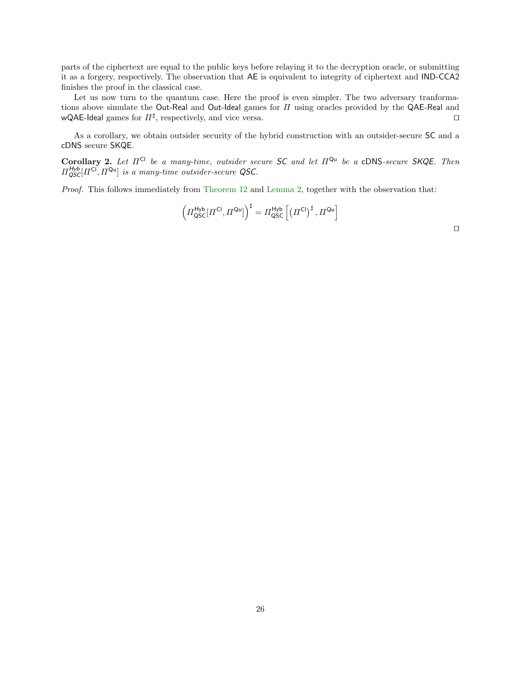parts of the ciphertext are equal to the public keys before relaying it to the decryption oracle, or submitting it as a forgery, respectively. The observation that AE is equivalent to integrity of ciphertext and IND-CCA2 finishes the proof in the classical case.

Let us now turn to the quantum case. Here the proof is even simpler. The two adversary tranformations above simulate the Out-Real and Out-Ideal games for  $\Pi$  using oracles provided by the QAE-Real and wQAE-Ideal games for  $\Pi^{\sharp}$ , respectively, and vice versa.  $\square$ 

As a corollary, we obtain outsider security of the hybrid construction with an outsider-secure SC and a cDNS secure SKQE.

Corollary 2. Let  $\Pi^{Cl}$  be a many-time, outsider secure SC and let  $\Pi^{Qu}$  be a cDNS-secure SKQE. Then  $\Pi_{\mathsf{QSC}}^{\mathsf{Hyb}}[\Pi^{\mathsf{Cl}}, \Pi^{\mathsf{Qu}}]$  is a many-time outsider-secure QSC.

Proof. This follows immediately from [Theorem](#page-23-1) [12](#page-23-1) and [Lemma](#page-24-0) [2,](#page-24-0) together with the observation that:

<span id="page-25-0"></span>
$$
\left(\Pi^{\mathsf{Hyb}}_{\mathsf{QSC}}[\Pi^{\mathsf{Cl}}, \Pi^{\mathsf{Qu}}]\right)^{\sharp} = \Pi^{\mathsf{Hyb}}_{\mathsf{QSC}}\left[\left(\Pi^{\mathsf{Cl}}\right)^{\sharp}, \Pi^{\mathsf{Qu}}\right]
$$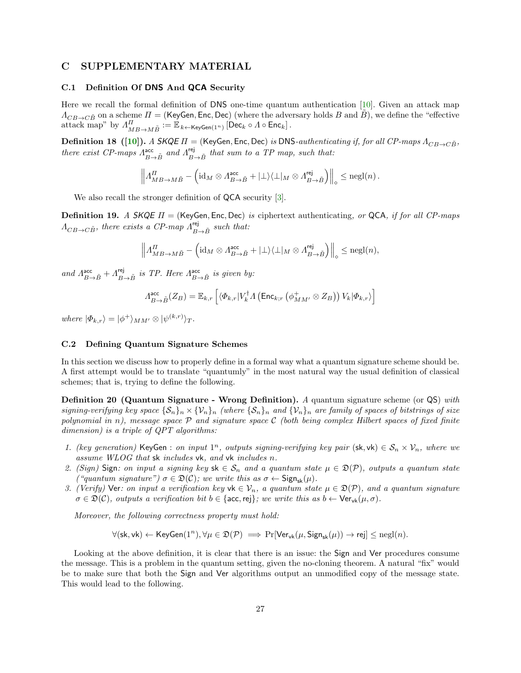### C SUPPLEMENTARY MATERIAL

#### <span id="page-26-0"></span>C.1 Definition Of DNS And QCA Security

Here we recall the formal definition of DNS one-time quantum authentication [\[10\]](#page-18-6). Given an attack map  $A_{CB\to C\tilde{B}}$  on a scheme  $\Pi$  = (KeyGen, Enc, Dec) (where the adversary holds B and B), we define the "effective attack map" by  $\Lambda_{MB\to M\tilde{B}}^H:=\mathbb{E}_{k\leftarrow \mathsf{KeyGen}(1^n)}\left[\mathsf{Dec}_k\circ\Lambda\circ\mathsf{Enc}_k\right].$ 

**Definition 18** ([\[10\]](#page-18-6)). A SKQE  $\Pi$  = (KeyGen, Enc, Dec) is DNS-authenticating if, for all CP-maps  $\Lambda_{CB\rightarrow C\bar{B}}$ , there exist CP-maps  $A_{B\to \tilde B}^{\text{acc}}$  and  $A_{B\to \tilde B}^{\text{rej}}$  that sum to a TP map, such that:

<span id="page-26-2"></span>
$$
\left\| \varLambda_{MB\to M\tilde{B}}^{II} - \left( \mathrm{id}_M \otimes \varLambda_{B\to \tilde{B}}^{\mathrm{acc}} + |\bot\rangle\langle\bot|_M \otimes \varLambda_{B\to \tilde{B}}^{\mathrm{rej}} \right) \right\|_{\diamond} \leq \mathrm{negl}(n) \, .
$$

We also recall the stronger definition of **QCA** security [\[3\]](#page-18-2).

**Definition 19.** A SKQE  $\Pi$  = (KeyGen, Enc, Dec) is ciphertext authenticating, or QCA, if for all CP-maps  $\Lambda_{CB\rightarrow C\tilde{B}}$ , there exists a CP-map  $\Lambda_{B\rightarrow \tilde{B}}^{rep}$  such that:

$$
\left\| \Lambda_{MB\to M\tilde{B}}^{\Pi} - \left( \mathrm{id}_M \otimes \Lambda_{B\to \tilde{B}}^{\mathrm{acc}} + |\bot\rangle\langle\bot|_M \otimes \Lambda_{B\to \tilde{B}}^{\mathrm{rej}} \right) \right\|_{\diamond} \leq \mathrm{negl}(n),
$$

and  $A_{B\to \tilde{B}}^{\text{acc}}+A_{B\to \tilde{B}}^{\text{rej}}$  is TP. Here  $A_{B\to \tilde{B}}^{\text{acc}}$  is given by:

$$
\Lambda_{B\to \tilde{B}}^{\text{acc}}(Z_B) = \mathbb{E}_{k,r} \left[ \langle \Phi_{k,r} | V_k^{\dagger} A \left( \text{Enc}_{k;r} \left( \phi_{MM'}^+ \otimes Z_B \right) \right) V_k | \Phi_{k,r} \rangle \right]
$$

where  $|\Phi_{k,r}\rangle = |\phi^+\rangle_{MM'} \otimes |\psi^{(k,r)}\rangle_T$ .

### <span id="page-26-1"></span>C.2 Defining Quantum Signature Schemes

In this section we discuss how to properly define in a formal way what a quantum signature scheme should be. A first attempt would be to translate "quantumly" in the most natural way the usual definition of classical schemes; that is, trying to define the following.

Definition 20 (Quantum Signature - Wrong Definition). A quantum signature scheme (or QS) with signing-verifying key space  $\{S_n\}_n \times \{V_n\}_n$  (where  $\{S_n\}_n$  and  $\{V_n\}_n$  are family of spaces of bitstrings of size polynomial in n), message space  $P$  and signature space  $C$  (both being complex Hilbert spaces of fixed finite dimension) is a triple of QPT algorithms:

- 1. (key generation) KeyGen : on input  $1^n$ , outputs signing-verifying key pair (sk, vk)  $\in \mathcal{S}_n \times \mathcal{V}_n$ , where we assume WLOG that sk includes vk, and vk includes n.
- 2. (Sign) Sign: on input a signing key sk  $\in \mathcal{S}_n$  and a quantum state  $\mu \in \mathcal{D}(\mathcal{P})$ , outputs a quantum state ("quantum signature")  $\sigma \in \mathfrak{D}(\mathcal{C})$ ; we write this as  $\sigma \leftarrow \mathsf{Sign}_{\mathsf{sk}}(\mu)$ .
- 3. (Verify) Ver: on input a verification key vk  $\in \mathcal{V}_n$ , a quantum state  $\mu \in \mathcal{D}(\mathcal{P})$ , and a quantum signature  $\sigma \in \mathfrak{D}(\mathcal{C})$ , outputs a verification bit  $b \in \{\text{acc}, \text{rej}\}\;$ ; we write this as  $b \leftarrow \text{Ver}_{\text{vk}}(\mu, \sigma)$ .

Moreover, the following correctness property must hold:

 $\forall (\mathsf{sk},\mathsf{vk}) \leftarrow \mathsf{KeyGen}(1^n), \forall \mu \in \mathfrak{D}(\mathcal{P}) \implies \Pr[\mathsf{Ver}_{\mathsf{vk}}(\mu, \mathsf{Sign}_{\mathsf{sk}}(\mu)) \rightarrow \mathsf{rej}] \le \mathrm{negl}(n).$ 

Looking at the above definition, it is clear that there is an issue: the Sign and Ver procedures consume the message. This is a problem in the quantum setting, given the no-cloning theorem. A natural "fix" would be to make sure that both the Sign and Ver algorithms output an unmodified copy of the message state. This would lead to the following.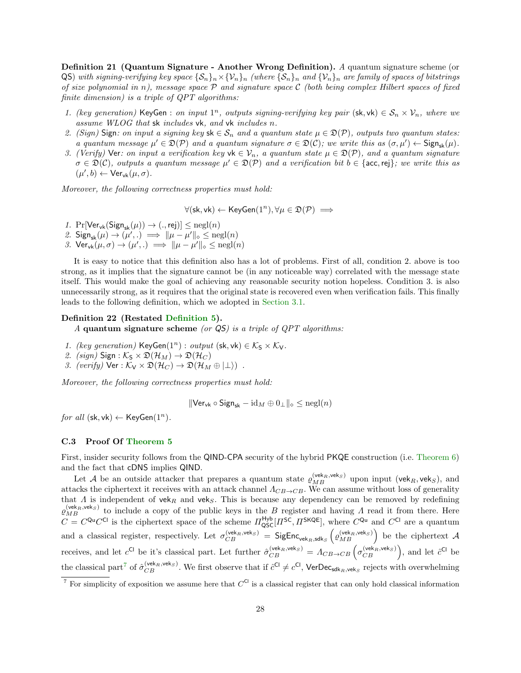Definition 21 (Quantum Signature - Another Wrong Definition). A quantum signature scheme (or QS) with signing-verifying key space  $\{S_n\}_n\times\{V_n\}_n$  (where  $\{S_n\}_n$  and  $\{V_n\}_n$  are family of spaces of bitstrings of size polynomial in n), message space  $P$  and signature space C (both being complex Hilbert spaces of fixed finite dimension) is a triple of QPT algorithms:

- 1. (key generation) KeyGen : on input  $1^n$ , outputs signing-verifying key pair (sk, vk)  $\in \mathcal{S}_n \times \mathcal{V}_n$ , where we assume WLOG that sk includes vk, and vk includes n.
- 2. (Sign) Sign: on input a signing key  $sk \in S_n$  and a quantum state  $\mu \in \mathfrak{D}(\mathcal{P})$ , outputs two quantum states: a quantum message  $\mu' \in \mathfrak{D}(\mathcal{P})$  and a quantum signature  $\sigma \in \mathfrak{D}(\mathcal{C})$ ; we write this as  $(\sigma, \mu') \leftarrow \mathsf{Sign}_{\mathsf{sk}}(\mu)$ .
- 3. (Verify) Ver: on input a verification key vk  $\in \mathcal{V}_n$ , a quantum state  $\mu \in \mathcal{D}(\mathcal{P})$ , and a quantum signature  $\sigma \in \mathfrak{D}(\mathcal{C})$ , outputs a quantum message  $\mu' \in \mathfrak{D}(\mathcal{P})$  and a verification bit  $b \in \{\text{acc}, \text{rej}\}\$ ; we write this as  $(\mu', b) \leftarrow \mathsf{Ver}_{\mathsf{vk}}(\mu, \sigma).$

Moreover, the following correctness properties must hold:

 $\forall$ (sk, vk)  $\leftarrow$  KeyGen $(1^n), \forall \mu \in \mathfrak{D}(\mathcal{P}) \implies$ 

- 1.  $Pr[Ver_{vk}(Sign_{sk}(\mu)) \rightarrow (., rej)] \leq negl(n)$
- 2.  $\text{Sign}_{\text{sk}}(\mu) \rightarrow (\mu',.) \implies ||\mu \mu'||_{\infty} \le \text{negl}(n)$
- 3.  $\text{Ver}_{\text{vk}}(\mu, \sigma) \rightarrow (\mu', .) \implies ||\mu \mu'||_{\circ} \leq \text{negl}(n)$

It is easy to notice that this definition also has a lot of problems. First of all, condition 2. above is too strong, as it implies that the signature cannot be (in any noticeable way) correlated with the message state itself. This would make the goal of achieving any reasonable security notion hopeless. Condition 3. is also unnecessarily strong, as it requires that the original state is recovered even when verification fails. This finally leads to the following definition, which we adopted in [Section](#page-4-2) [3.1.](#page-4-2)

### Definition 22 (Restated [Definition](#page-4-0) [5\)](#page-4-0).

A quantum signature scheme (or  $\mathsf{Q}S$ ) is a triple of  $QPT$  algorithms:

- 1. (key generation) KeyGen $(1^n)$ : output (sk, vk)  $\in \mathcal{K}_S \times \mathcal{K}_V$ .
- 2. (sign)  $Sign : K_S \times \mathfrak{D}(\mathcal{H}_M) \to \mathfrak{D}(\mathcal{H}_C)$
- 3. (verify)  $\text{Ver } : \mathcal{K}_V \times \mathfrak{D}(\mathcal{H}_C) \to \mathfrak{D}(\mathcal{H}_M \oplus |\perp\rangle)$ .

Moreover, the following correctness properties must hold:

$$
\|\mathsf{Ver}_{\mathsf{vk}} \circ \mathsf{Sign}_{\mathsf{sk}} - \mathrm{id}_M \oplus 0_\perp\|_\diamond \le \mathrm{negl}(n)
$$

for all  $(\mathsf{sk}, \mathsf{vk}) \leftarrow \mathsf{KeyGen}(1^n)$ .

#### <span id="page-27-0"></span>C.3 Proof Of [Theorem](#page-13-2) [5](#page-13-2)

First, insider security follows from the QIND-CPA security of the hybrid PKQE construction (i.e. [Theorem](#page-15-0) [6\)](#page-15-0) and the fact that cDNS implies QIND.

Let A be an outside attacker that prepares a quantum state  $\varrho_{MB}^{(vek_R,vek_S)}$  upon input (vek<sub>R</sub>, vek<sub>S</sub>), and attacks the ciphertext it receives with an attack channel  $\Lambda_{CB\rightarrow CB}$ . We can assume without loss of generality that  $\Lambda$  is independent of vek<sub>R</sub> and vek<sub>S</sub>. This is because any dependency can be removed by redefining  $\varrho_{MB}^{(vek_R,vek_S)}$  to include a copy of the public keys in the B register and having A read it from there. Here  $C = C^{Qu}C^{Cl}$  is the ciphertext space of the scheme  $\Pi_{QSC}^{Hyb}[H^{SC}, H^{SKQE}]$ , where  $C^{Qu}$  and  $C^{Cl}$  are a quantum and a classical register, respectively. Let  $\sigma_{CB}^{(vek_R,vek_S)}$  = SigEnc<sub>vek<sub>R,sdks</sub>  $(\rho_{MB}^{(vek_R,vek_S)})$  be the ciphertext A</sub> receives, and let  $c^{Cl}$  be it's classical part. Let further  $\hat{\sigma}_{CB}^{(\text{vek}_R,\text{vek}_S)} = A_{CB \to CB} \left( \sigma_{CB}^{(\text{vek}_R,\text{vek}_S)} \right)$ , and let  $\hat{c}^{Cl}$  be the classical part<sup>[7](#page-27-1)</sup> of  $\hat{\sigma}_{CB}^{(\text{vek}_R, \text{vek}_S)}$ . We first observe that if  $\hat{c}^{\text{Cl}} \neq c^{\text{Cl}}$ , VerDec<sub>sdk<sub>R, veks</sub> rejects with overwhelming</sub>

<span id="page-27-1"></span><sup>&</sup>lt;sup>7</sup> For simplicity of exposition we assume here that  $C^{C}$  is a classical register that can only hold classical information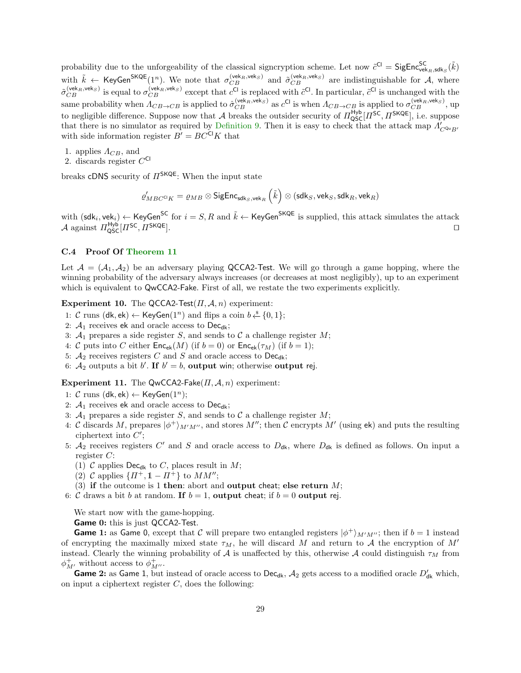probability due to the unforgeability of the classical signcryption scheme. Let now  $\tilde{c}^{Cl} = \mathsf{SigEnc}^{SC}_{vek_R, sdk_S}(\tilde{k})$ with  $\tilde{k} \leftarrow \text{KeyGen}^{\text{SKQE}}(1^n)$ . We note that  $\sigma_{CB}^{(\text{vek}_R, \text{vek}_S)}$  and  $\tilde{\sigma}_{CB}^{(\text{vek}_R, \text{vek}_S)}$  are indistinguishable for A, where  $\tilde{\sigma}_{CB}^{(\text{vek}_R, \text{vek}_S)}$  is equal to  $\sigma_{CB}^{(\text{vek}_R, \text{vek}_S)}$  except that  $c^{Cl}$  is replaced with  $\tilde{c}^{Cl}$ . In particular,  $\tilde{c}^{Cl}$  is unchanged with the same probability when  $\Lambda_{CB\to CB}$  is applied to  $\hat{\sigma}_{CB}^{(\text{vek}_R,\text{vek}_S)}$  as  $c^{\text{Cl}}$  is when  $\Lambda_{CB\to CB}$  is applied to  $\sigma_{CB}^{(\text{vek}_R,\text{vek}_S)}$ , up to negligible difference. Suppose now that A breaks the outsider security of  $\pi_{QSC}^{\mu_{Vb}}[\pi^{SC}, \pi^{SKQE}]$ , i.e. suppose that there is no simulator as required by [Definition](#page-12-0) [9.](#page-12-0) Then it is easy to check that the attack map  $\Lambda'_{C^{Q_u}B'}$ with side information register  $B' = BC^{CI}K$  that

- 1. applies  $\Lambda_{CB}$ , and
- 2. discards register  $C^{Cl}$

breaks cDNS security of  $\Pi^{\mathsf{SKQE}}$ : When the input state

$$
\varrho_{MBC^{\mathrm{Cl}}K}' = \varrho_{MB} \otimes \mathsf{SigEnc}_{\mathsf{sdk}_S,\mathsf{vek}_R}\left(\tilde{k}\right) \otimes \left(\mathsf{sdk}_S, \mathsf{vek}_S, \mathsf{sdk}_R, \mathsf{vek}_R\right)
$$

with  $(\mathsf{sdk}_i, \mathsf{vek}_i) \leftarrow \mathsf{KeyGen}^\mathsf{SC}$  for  $i = S, R$  and  $\tilde{k} \leftarrow \mathsf{KeyGen}^\mathsf{SKQE}$  is supplied, this attack simulates the attack  $\mathcal A$  against  $\varPi_{\rm QSC}^{\rm Hyp}[\varPi^{\rm SC},\varPi^{\rm SKQE}].$ 

### <span id="page-28-0"></span>C.4 Proof Of [Theorem](#page-22-0) [11](#page-22-0)

Let  $A = (A_1, A_2)$  be an adversary playing QCCA2-Test. We will go through a game hopping, where the winning probability of the adversary always increases (or decreases at most negligibly), up to an experiment which is equivalent to QwCCA2-Fake. First of all, we restate the two experiments explicitly.

### Experiment 10. The QCCA2-Test $(\Pi, \mathcal{A}, n)$  experiment:

- 1: *C* runs (dk, ek) ← KeyGen(1<sup>n</sup>) and flips a coin  $b \stackrel{\$}{\leftarrow} \{0, 1\};$
- 2:  $A_1$  receives ek and oracle access to Dec<sub>dk</sub>;
- 3:  $A_1$  prepares a side register S, and sends to C a challenge register M;
- 4: C puts into C either  $\mathsf{Enc}_{ek}(M)$  (if  $b = 0$ ) or  $\mathsf{Enc}_{ek}(\tau_M)$  (if  $b = 1$ );
- 5:  $A_2$  receives registers C and S and oracle access to Dec<sub>dk</sub>;
- 6:  $A_2$  outputs a bit b'. If  $b' = b$ , output win; otherwise output rej.

### Experiment 11. The QwCCA2-Fake( $\Pi$ ,  $A$ ,  $n$ ) experiment:

- 1: C runs (dk, ek)  $\leftarrow$  KeyGen(1<sup>n</sup>);
- 2:  $A_1$  receives ek and oracle access to Dec<sub>dk</sub>;
- 3:  $A_1$  prepares a side register S, and sends to C a challenge register M;
- 4: C discards M, prepares  $|\phi^+\rangle_{M'M''}$ , and stores M''; then C encrypts M' (using ek) and puts the resulting ciphertext into  $C'$ ;
- 5:  $A_2$  receives registers C' and S and oracle access to  $D_{dk}$ , where  $D_{dk}$  is defined as follows. On input a register C:
	- (1) C applies  $\text{Dec}_{dk}$  to C, places result in M;
	- (2) C applies  $\{ \Pi^+, \mathbb{1} \Pi^+ \}$  to  $MM''$ ;
- (3) if the outcome is 1 then: abort and output cheat; else return  $M$ ;
- 6: C draws a bit b at random. If  $b = 1$ , output cheat; if  $b = 0$  output rej.

We start now with the game-hopping.

Game 0: this is just QCCA2-Test.

**Game 1:** as Game 0, except that C will prepare two entangled registers  $|\phi^+\rangle_{M'M'}$ ; then if  $b=1$  instead of encrypting the maximally mixed state  $\tau_M$ , he will discard M and return to A the encryption of M' instead. Clearly the winning probability of A is unaffected by this, otherwise A could distinguish  $\tau_M$  from  $\phi^+_{M'}$ , without access to  $\phi^+_{M''}.$ 

**Game 2:** as Game 1, but instead of oracle access to Dec<sub>dk</sub>,  $A_2$  gets access to a modified oracle  $D'_{dk}$  which, on input a ciphertext register  $C$ , does the following: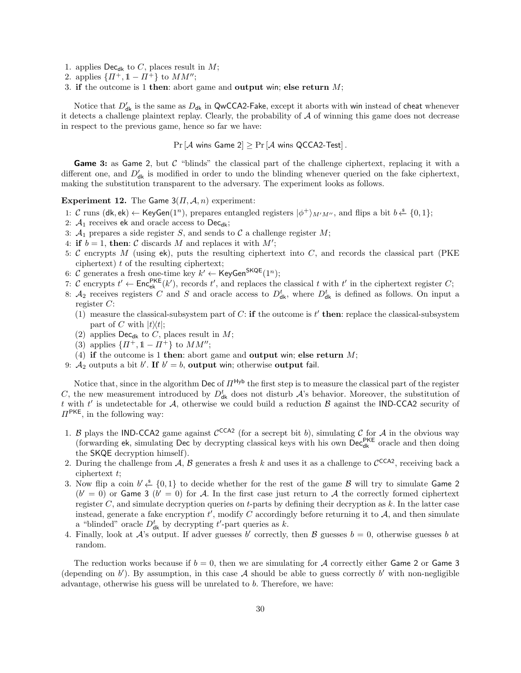- 1. applies  $\mathsf{Dec}_{\mathsf{dk}}$  to C, places result in M;
- 2. applies  $\{ \Pi^+, 1 \Pi^+ \}$  to  $MM'';$
- 3. if the outcome is 1 then: abort game and output win; else return  $M$ ;

Notice that  $D'_{\sf dk}$  is the same as  $D_{\sf dk}$  in QwCCA2-Fake, except it aborts with win instead of cheat whenever it detects a challenge plaintext replay. Clearly, the probability of  $A$  of winning this game does not decrease in respect to the previous game, hence so far we have:

 $Pr[\mathcal{A}$  wins Game  $2] \geq Pr[\mathcal{A}$  wins QCCA2-Test].

Game 3: as Game 2, but  $C$  "blinds" the classical part of the challenge ciphertext, replacing it with a different one, and  $D'_{\mathsf{dk}}$  is modified in order to undo the blinding whenever queried on the fake ciphertext, making the substitution transparent to the adversary. The experiment looks as follows.

### Experiment 12. The Game  $3(\Pi, \mathcal{A}, n)$  experiment:

- 1: C runs (dk, ek) ← KeyGen(1<sup>n</sup>), prepares entangled registers  $|\phi^+\rangle_{M'M''}$ , and flips a bit  $b \stackrel{\$}{\leftarrow} \{0,1\};$
- 2:  $A_1$  receives ek and oracle access to Dec<sub>dk</sub>;
- 3:  $A_1$  prepares a side register S, and sends to C a challenge register M;
- 4: if  $b = 1$ , then: C discards M and replaces it with  $M'$ ;
- 5: C encrypts M (using  $ek$ ), puts the resulting ciphertext into C, and records the classical part (PKE) ciphertext)  $t$  of the resulting ciphertext;
- 6: C generates a fresh one-time key  $k' \leftarrow \text{KeyGen}^{\text{SKQE}}(1^n);$
- 7: C encrypts  $t' \leftarrow \mathsf{Enc}_{\mathsf{ek}}^{\mathsf{PKE}}(k')$ , records  $t'$ , and replaces the classical t with  $t'$  in the ciphertext register C;
- 8:  $A_2$  receives registers C and S and oracle access to  $D_{dk}^t$ , where  $D_{dk}^t$  is defined as follows. On input a register C:
	- (1) measure the classical-subsystem part of C: if the outcome is  $t'$  then: replace the classical-subsystem part of C with  $|t\rangle\langle t|$ ;
	- (2) applies  $\textsf{Dec}_{\textsf{dk}}$  to C, places result in M;
	- (3) applies  $\{ \Pi^+, \mathbb{1} \Pi^+ \}$  to  $MM'';$
	- (4) if the outcome is 1 then: abort game and output win; else return  $M$ ;
- 9:  $A_2$  outputs a bit b'. If  $b' = b$ , output win; otherwise output fail.

Notice that, since in the algorithm Dec of  $\Pi^{Hyb}$  the first step is to measure the classical part of the register C, the new measurement introduced by  $D_{d\mathbf{k}}^t$  does not disturb  $\mathcal{A}$ 's behavior. Moreover, the substitution of t with t' is undetectable for A, otherwise we could build a reduction  $\beta$  against the IND-CCA2 security of  $\Pi^{\mathsf{PKE}}$ , in the following way:

- 1. B plays the IND-CCA2 game against  $\mathcal{C}^{CCA2}$  (for a secrept bit b), simulating C for A in the obvious way (forwarding ek, simulating Dec by decrypting classical keys with his own Dec<sub>dk</sub> oracle and then doing the SKQE decryption himself).
- 2. During the challenge from A, B generates a fresh k and uses it as a challenge to  $\mathcal{C}^{CCA2}$ , receiving back a ciphertext t;
- 3. Now flip a coin  $b' \stackrel{\$}{\leftarrow} \{0,1\}$  to decide whether for the rest of the game B will try to simulate Game 2  $(b' = 0)$  or Game 3  $(b' = 0)$  for A. In the first case just return to A the correctly formed ciphertext register  $C$ , and simulate decryption queries on t-parts by defining their decryption as  $k$ . In the latter case instead, generate a fake encryption  $t'$ , modify C accordingly before returning it to  $A$ , and then simulate a "blinded" oracle  $D_{\mathsf{dk}}^t$  by decrypting t'-part queries as k.
- 4. Finally, look at A's output. If adver guesses b' correctly, then B guesses  $b = 0$ , otherwise guesses b at random.

The reduction works because if  $b = 0$ , then we are simulating for A correctly either Game 2 or Game 3 (depending on  $b'$ ). By assumption, in this case A should be able to guess correctly  $b'$  with non-negligible advantage, otherwise his guess will be unrelated to b. Therefore, we have: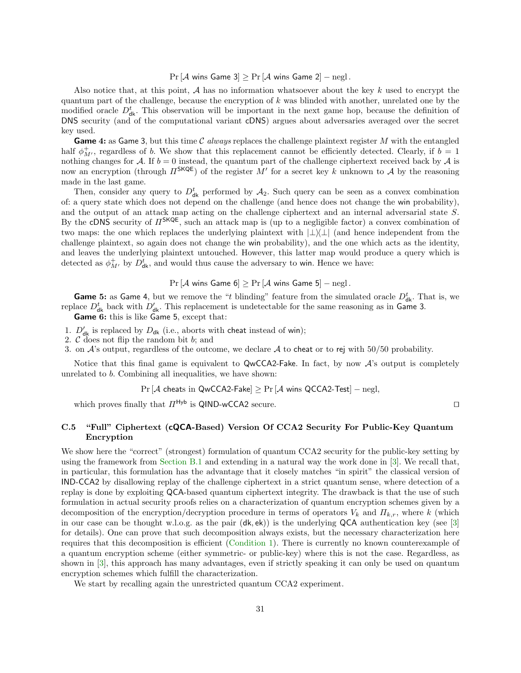$Pr[\mathcal{A}$  wins Game 3 $]\geq Pr[\mathcal{A}$  wins Game 2 $]-negl$ .

Also notice that, at this point,  $A$  has no information whatsoever about the key k used to encrypt the quantum part of the challenge, because the encryption of  $k$  was blinded with another, unrelated one by the modified oracle  $D_{\mathsf{dk}}^t$ . This observation will be important in the next game hop, because the definition of DNS security (and of the computational variant cDNS) argues about adversaries averaged over the secret key used.

**Game 4:** as Game 3, but this time C always replaces the challenge plaintext register M with the entangled half  $\phi^+_{M'}$ , regardless of b. We show that this replacement cannot be efficiently detected. Clearly, if  $b = 1$ nothing changes for A. If  $b = 0$  instead, the quantum part of the challenge ciphertext received back by A is now an encryption (through  $\Pi^{\mathsf{SKQE}}$ ) of the register M' for a secret key k unknown to A by the reasoning made in the last game.

Then, consider any query to  $D_{d\mathbf{k}}^t$  performed by  $\mathcal{A}_2$ . Such query can be seen as a convex combination of: a query state which does not depend on the challenge (and hence does not change the win probability), and the output of an attack map acting on the challenge ciphertext and an internal adversarial state S. By the cDNS security of  $\Pi^{\mathsf{SKQE}}$ , such an attack map is (up to a negligible factor) a convex combination of two maps: the one which replaces the underlying plaintext with  $|\perp\rangle\perp|$  (and hence independent from the challenge plaintext, so again does not change the win probability), and the one which acts as the identity, and leaves the underlying plaintext untouched. However, this latter map would produce a query which is detected as  $\phi_{M'}^+$  by  $D_{\mathsf{dk}}^t$ , and would thus cause the adversary to win. Hence we have:

 $Pr[\mathcal{A}$  wins Game 6]  $\geq Pr[\mathcal{A}$  wins Game 5] – negl.

**Game 5:** as Game 4, but we remove the "t blinding" feature from the simulated oracle  $D_{\text{dk}}^t$ . That is, we replace  $D_{d\mathbf{k}}^t$  back with  $D_{d\mathbf{k}}'$ . This replacement is undetectable for the same reasoning as in Game 3.

Game 6: this is like Game 5, except that:

- 1.  $D'_{dk}$  is replaced by  $D_{dk}$  (i.e., aborts with cheat instead of win);
- 2.  $\mathcal C$  does not flip the random bit  $b$ ; and

3. on  $\mathcal{A}$ 's output, regardless of the outcome, we declare  $\mathcal{A}$  to cheat or to rej with 50/50 probability.

Notice that this final game is equivalent to QwCCA2-Fake. In fact, by now  $\mathcal{A}$ 's output is completely unrelated to b. Combining all inequalities, we have shown:

 $Pr[\mathcal{A}$  cheats in QwCCA2-Fake] >  $Pr[\mathcal{A}$  wins QCCA2-Test] – negl,

which proves finally that  $\Pi^\mathsf{Hyb}$  is QIND-wCCA2 secure.  $\Box$ 

# C.5 "Full" Ciphertext (cQCA-Based) Version Of CCA2 Security For Public-Key Quantum Encryption

We show here the "correct" (strongest) formulation of quantum CCA2 security for the public-key setting by using the framework from [Section](#page-21-0) [B.1](#page-21-0) and extending in a natural way the work done in [\[3\]](#page-18-2). We recall that, in particular, this formulation has the advantage that it closely matches "in spirit" the classical version of IND-CCA2 by disallowing replay of the challenge ciphertext in a strict quantum sense, where detection of a replay is done by exploiting QCA-based quantum ciphertext integrity. The drawback is that the use of such formulation in actual security proofs relies on a characterization of quantum encryption schemes given by a decomposition of the encryption/decryption procedure in terms of operators  $V_k$  and  $\Pi_{k,r}$ , where k (which in our case can be thought w.l.o.g. as the pair (dk, ek)) is the underlying QCA authentication key (see [\[3\]](#page-18-2) for details). One can prove that such decomposition always exists, but the necessary characterization here requires that this decomposition is efficient [\(Condition](#page-20-0) [1\)](#page-20-0). There is currently no known counterexample of a quantum encryption scheme (either symmetric- or public-key) where this is not the case. Regardless, as shown in [\[3\]](#page-18-2), this approach has many advantages, even if strictly speaking it can only be used on quantum encryption schemes which fulfill the characterization.

We start by recalling again the unrestricted quantum CCA2 experiment.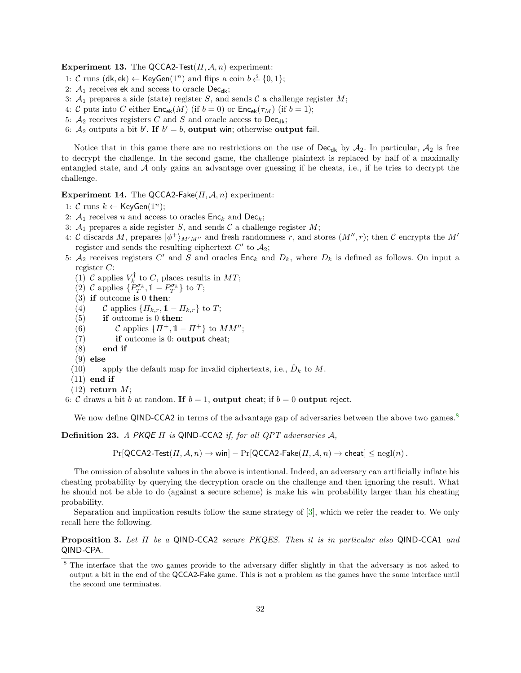Experiment 13. The QCCA2-Test $(\Pi, \mathcal{A}, n)$  experiment:

- 1: *C* runs (dk, ek) ← KeyGen(1<sup>n</sup>) and flips a coin  $b \stackrel{\$}{\leftarrow} \{0, 1\};$
- 2:  $A_1$  receives ek and access to oracle Dec<sub>dk</sub>;
- 3:  $A_1$  prepares a side (state) register S, and sends C a challenge register M;
- 4: C puts into C either  $\mathsf{Enc}_{ek}(M)$  (if  $b = 0$ ) or  $\mathsf{Enc}_{ek}(\tau_M)$  (if  $b = 1$ );
- 5:  $A_2$  receives registers C and S and oracle access to Dec<sub>dk</sub>;
- 6:  $A_2$  outputs a bit b'. If  $b' = b$ , output win; otherwise output fail.

Notice that in this game there are no restrictions on the use of Dec<sub>dk</sub> by  $A_2$ . In particular,  $A_2$  is free to decrypt the challenge. In the second game, the challenge plaintext is replaced by half of a maximally entangled state, and  $A$  only gains an advantage over guessing if he cheats, i.e., if he tries to decrypt the challenge.

Experiment 14. The QCCA2-Fake $(\Pi, \mathcal{A}, n)$  experiment:

- 1:  $C$  runs  $k \leftarrow \text{KeyGen}(1^n);$
- 2:  $A_1$  receives *n* and access to oracles  $Enc_k$  and  $Dec_k$ ;
- 3:  $A_1$  prepares a side register S, and sends C a challenge register M;
- 4: C discards M, prepares  $|\phi^+\rangle_{M'M''}$  and fresh randomness r, and stores  $(M'', r)$ ; then C encrypts the M' register and sends the resulting ciphertext  $C'$  to  $\mathcal{A}_2$ ;
- 5:  $A_2$  receives registers C' and S and oracles  $Enc_k$  and  $D_k$ , where  $D_k$  is defined as follows. On input a register C:
	- (1)  $\mathcal{C}$  applies  $V_k^{\dagger}$  to  $C$ , places results in  $MT$ ;
	- (2) C applies  $\{P_T^{\sigma_k}, 1 P_T^{\sigma_k}\}\)$  to T;
	- (3) if outcome is 0 then:
	- (4) C applies  $\{\Pi_{k,r}, 1-\Pi_{k,r}\}\)$  to T;
	- (5) if outcome is 0 then:
	- (6) C applies  $\{\Pi^+, 1 \Pi^+\}$  to  $MM''$ ;
	- (7) if outcome is 0: output cheat;
	- (8) end if
	- $(9)$  else
	- (10) apply the default map for invalid ciphertexts, i.e.,  $\hat{D}_k$  to M.
	- $(11)$  end if
- $(12)$  return M;

6: C draws a bit b at random. If  $b = 1$ , output cheat; if  $b = 0$  output reject.

We now define QIND-CCA2 in terms of the advantage gap of adversaries between the above two games.<sup>[8](#page-31-0)</sup>

**Definition 23.** A PKQE  $\Pi$  is QIND-CCA2 if, for all QPT adversaries  $\mathcal{A}$ ,

 $Pr[QCCA2-Test(\Pi, \mathcal{A}, n) \to win] - Pr[QCCA2-Take(\Pi, \mathcal{A}, n) \to cheap] \leq negl(n).$ 

The omission of absolute values in the above is intentional. Indeed, an adversary can artificially inflate his cheating probability by querying the decryption oracle on the challenge and then ignoring the result. What he should not be able to do (against a secure scheme) is make his win probability larger than his cheating probability.

Separation and implication results follow the same strategy of [\[3\]](#page-18-2), which we refer the reader to. We only recall here the following.

Proposition 3. Let Π be a QIND-CCA2 secure PKQES. Then it is in particular also QIND-CCA1 and QIND-CPA.

<span id="page-31-0"></span><sup>&</sup>lt;sup>8</sup> The interface that the two games provide to the adversary differ slightly in that the adversary is not asked to output a bit in the end of the QCCA2-Fake game. This is not a problem as the games have the same interface until the second one terminates.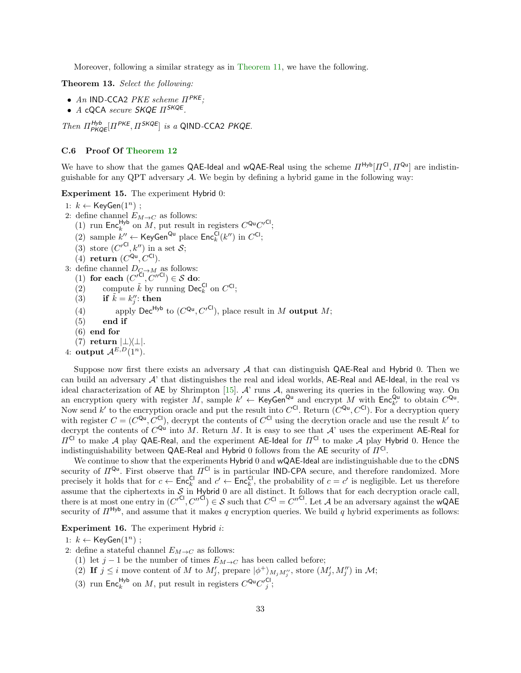Moreover, following a similar strategy as in [Theorem](#page-22-0) [11,](#page-22-0) we have the following.

Theorem 13. Select the following:

- An IND-CCA2 PKE scheme  $\Pi^{PKE}$ ;
- A cQCA secure SKQE  $\Pi^{\textit{SKQE}}$ .

Then  $\Pi_{PKQE}^{Hyb}[Pi^{PKE}, \Pi^{SKQE}]$  is a QIND-CCA2 PKQE.

#### <span id="page-32-0"></span>C.6 Proof Of [Theorem](#page-23-1) [12](#page-23-1)

We have to show that the games QAE-Ideal and wQAE-Real using the scheme  $\Pi^{Hyb}[H^{Cl}, H^{Qu}]$  are indistinguishable for any QPT adversary  $A$ . We begin by defining a hybrid game in the following way:

Experiment 15. The experiment Hybrid 0:

1:  $k$  ← KeyGen $(1^n)$ ; 2: define channel  $E_{M\to C}$  as follows: (1) run Enc<sup>Hyb</sup> on M, put result in registers  $C^{Qu}C'^{Cl}$ ; (2) sample  $k'' \leftarrow \text{KeyGen}^{\text{Qu}}$  place  $\text{Enc}_{k}^{\text{Cl}}(k'')$  in  $C^{\text{Cl}}$ ; (3) store  $(C'^{Cl}, k'')$  in a set S; (4) return  $(C^{Qu}, C^{Cl})$ . 3: define channel  $D_{\mathcal{C}\rightarrow M}$  as follows: (1) for each  $(C'^{\overline{C}l}, C''^{Cl}) \in \mathcal{S}$  do: (2) compute  $\tilde{k}$  by running Dec<sub>k</sub><sup>Cl</sup> on  $C^{Cl}$ ; (3) if  $\tilde{k} = k''_j$ : then (4) apply Dec<sup>Hyb</sup> to  $(C^{Qu}, C'^{Cl})$ , place result in M output M; (5) end if (6) end for (7) return  $|\bot\rangle\langle\bot|$ . 4: output  $A^{E,D}(\hat{1}^n)$ .

Suppose now first there exists an adversary  $A$  that can distinguish QAE-Real and Hybrid 0. Then we can build an adversary  $A'$  that distinguishes the real and ideal worlds, AE-Real and AE-Ideal, in the real vs ideal characterization of AE by Shrimpton [\[15\]](#page-18-16). A' runs A, answering its queries in the following way. On an encryption query with register M, sample  $k' \leftarrow \text{KeyGen}^{\text{Qu}}$  and encrypt M with  $\text{Enc}_{k'}^{\text{Qu}}$  to obtain  $C^{\text{Qu}}$ . Now send k' to the encryption oracle and put the result into  $C^{Cl}$ . Return  $(C^{Qu}, C^{Cl})$ . For a decryption query with register  $C = (C^{Qu}, C^{Cl})$ , decrypt the contents of  $C^{Cl}$  using the decrytion oracle and use the result k' to decrypt the contents of  $C^{Qu}$  into M. Return M. It is easy to see that  $\mathcal{A}'$  uses the experiment AE-Real for  $\Pi^{\text{Cl}}$  to make A play QAE-Real, and the experiment AE-Ideal for  $\Pi^{\text{Cl}}$  to make A play Hybrid 0. Hence the indistinguishability between QAE-Real and Hybrid 0 follows from the AE security of  $\Pi^{\mathsf{CI}}$ .

We continue to show that the experiments Hybrid 0 and wQAE-Ideal are indistinguishable due to the cDNS security of  $\Pi^{\mathsf{Qu}}$ . First observe that  $\Pi^{\mathsf{Cl}}$  is in particular IND-CPA secure, and therefore randomized. More precisely it holds that for  $c \leftarrow \mathsf{Enc}_{k}^{\mathsf{Cl}}$  and  $c' \leftarrow \mathsf{Enc}_{k}^{\mathsf{Cl}}$ , the probability of  $c = c'$  is negligible. Let us therefore assume that the ciphertexts in  $S$  in Hybrid 0 are all distinct. It follows that for each decryption oracle call, there is at most one entry in  $(C'^{C}, C''^{C}) \in S$  such that  $C^{C} = C''^{C}$ . Let A be an adversary against the wQAE security of  $\Pi^{Hyb}$ , and assume that it makes q encryption queries. We build q hybrid experiments as follows:

Experiment 16. The experiment Hybrid i:

1:  $k$  ← KeyGen $(1^n)$  ;

2: define a stateful channel  $E_{M\to C}$  as follows:

- (1) let  $j 1$  be the number of times  $E_{M \to C}$  has been called before;
- (2) If  $j \leq i$  move content of M to  $M'_{j}$ , prepare  $|\phi^{+}\rangle_{M_{j}M''_{j}}$ , store  $(M'_{j}, M''_{j})$  in M;
- (3) run Enc<sup>Hyb</sup> on M, put result in registers  $C^{Qu}C_j^{\prime Cl}$ ;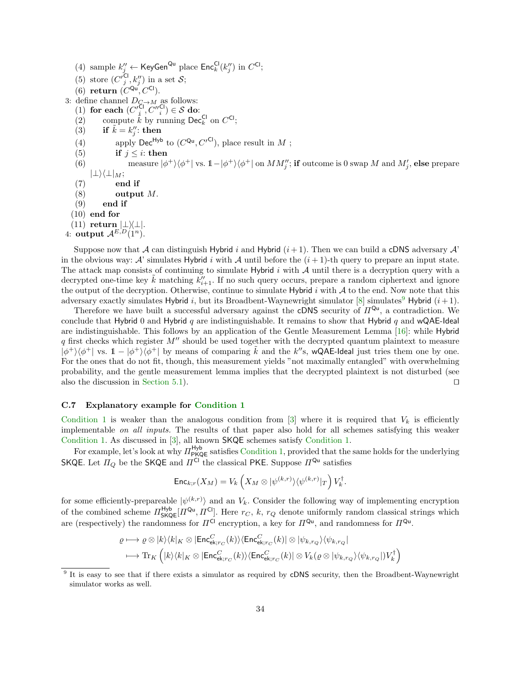(4) sample  $k''_j \leftarrow \text{KeyGen}^{\text{Qu}}$  place  $\text{Enc}_k^{\text{Cl}}(k''_j)$  in  $C^{\text{Cl}}$ ; (5) store  $(C'^{Cl}_j, k''_j)$  in a set S; (6) return  $(C^{Qu}, C^{Cl})$ . 3: define channel  $D_{\mathcal{C}\rightarrow M}$  as follows: (1) for each  $(C_i'^{\text{Cl}}, C_i''^{ \text{Cl}}) \in \mathcal{S}$  do: (2) compute  $\hat{k}$  by running Dec<sub>k</sub><sup>Cl</sup> on  $C^{Cl}$ ; (3) if  $\tilde{k} = k''_j$ : then (4) apply Dec<sup>Hyb</sup> to  $(C^{Qu}, C'^{Cl})$ , place result in M; (5) if  $j \leq i$ : then (6) measure  $|\phi^{+}\rangle\langle\phi^{+}|$  vs.  $1-|\phi^{+}\rangle\langle\phi^{+}|$  on  $MM''_{j}$ ; if outcome is 0 swap M and  $M'_{j}$ , else prepare  $|\perp\rangle\langle\perp|_M;$  $(7)$  end if  $(8)$  output M.  $(9)$  end if (10) end for  $(11)$  return  $|\perp\rangle\langle\perp|$ . 4: output  $A^{E,D}(1^n)$ .

Suppose now that A can distinguish Hybrid i and Hybrid  $(i + 1)$ . Then we can build a cDNS adversary A' in the obvious way: A' simulates Hybrid i with A until before the  $(i + 1)$ -th query to prepare an input state. The attack map consists of continuing to simulate Hybrid  $i$  with  $A$  until there is a decryption query with a decrypted one-time key  $\tilde{k}$  matching  $k''_{i+1}$ . If no such query occurs, prepare a random ciphertext and ignore the output of the decryption. Otherwise, continue to simulate Hybrid  $i$  with  $A$  to the end. Now note that this adversary exactly simulates Hybrid i, but its Broadbent-Waynewright simulator [\[8\]](#page-18-12) simulates<sup>[9](#page-33-0)</sup> Hybrid  $(i+1)$ .

Therefore we have built a successful adversary against the cDNS security of  $\Pi^{Qu}$ , a contradiction. We conclude that Hybrid 0 and Hybrid  $q$  are indistinguishable. It remains to show that Hybrid  $q$  and wQAE-Ideal are indistinguishable. This follows by an application of the Gentle Measurement Lemma [\[16\]](#page-18-15): while Hybrid  $q$  first checks which register  $M''$  should be used together with the decrypted quantum plaintext to measure  $|\phi^{+}\rangle\langle\phi^{+}|$  vs.  $1 - |\phi^{+}\rangle\langle\phi^{+}|$  by means of comparing  $\tilde{k}$  and the k''s, wQAE-Ideal just tries them one by one. For the ones that do not fit, though, this measurement yields "not maximally entangled" with overwhelming probability, and the gentle measurement lemma implies that the decrypted plaintext is not disturbed (see also the discussion in [Section](#page-15-3) [5.1\)](#page-15-3).  $\Box$ 

### C.7 Explanatory example for [Condition](#page-20-0) [1](#page-20-0)

[Condition](#page-20-0) [1](#page-20-0) is weaker than the analogous condition from  $[3]$  where it is required that  $V_k$  is efficiently implementable on all inputs. The results of that paper also hold for all schemes satisfying this weaker [Condition](#page-20-0) [1.](#page-20-0) As discussed in [\[3\]](#page-18-2), all known SKQE schemes satisfy [Condition](#page-20-0) [1.](#page-20-0)

For example, let's look at why  $\Pi_{\text{PKQE}}^{\text{Hyb}}$  satisfies [Condition](#page-20-0) [1,](#page-20-0) provided that the same holds for the underlying SKQE. Let  $\Pi_Q$  be the SKQE and  $\Pi^{\overline{CI}}$  the classical PKE. Suppose  $\Pi^{\mathsf{Qu}}$  satisfies

$$
\mathrm{Enc}_{k;r}(X_M)=V_k\left(X_M\otimes |\psi^{(k,r)}\rangle\langle\psi^{(k,r)}|_T\right)V_k^\dagger.
$$

for some efficiently-prepareable  $|\psi^{(k,r)}\rangle$  and an  $V_k$ . Consider the following way of implementing encryption of the combined scheme  $\Pi_{\mathsf{SKQE}}^{\mathsf{Hyb}}[\Pi^{\mathsf{Qu}}, \Pi^{\mathsf{Cl}}]$ . Here  $r_C, k, r_Q$  denote uniformly random classical strings which are (respectively) the randomness for  $\Pi^{\mathsf{Cl}}$  encryption, a key for  $\Pi^{\mathsf{Qu}}$ , and randomness for  $\Pi^{\mathsf{Qu}}$ .

$$
\varrho\longmapsto\varrho\otimes |k\rangle\langle k|_K\otimes|\text{Enc}^C_{\text{ek};r_C}(k)\rangle\langle\text{Enc}^C_{\text{ek};r_C}(k)|\otimes|\psi_{k,r_Q}\rangle\langle\psi_{k,r_Q}|\\\longmapsto \text{Tr}_K\left(|k\rangle\langle k|_K\otimes|\text{Enc}^C_{\text{ek};r_C}(k)\rangle\langle\text{Enc}^C_{\text{ek};r_C}(k)|\otimes V_k(\varrho\otimes|\psi_{k,r_Q}\rangle\langle\psi_{k,r_Q}|)V_k^\dagger\right)
$$

<span id="page-33-0"></span><sup>&</sup>lt;sup>9</sup> It is easy to see that if there exists a simulator as required by cDNS security, then the Broadbent-Waynewright simulator works as well.